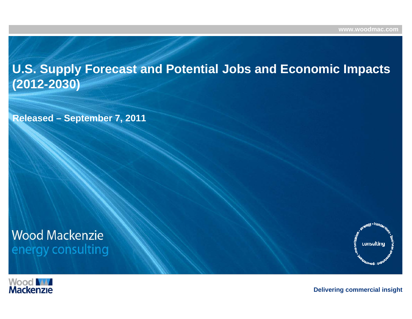**U.S. Supply Forecast and Potential Jobs and Economic Impacts (2012-2030)**

**Released – September 7, 2011**

# **Wood Mackenzie** energy consulting



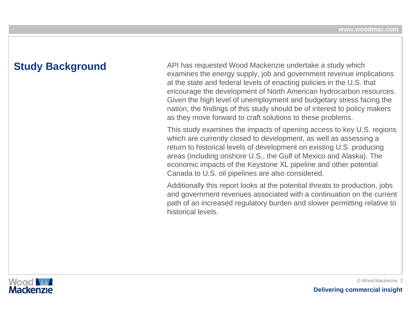**Study Background** API has requested Wood Mackenzie undertake a study which<br>examines the energy supply, job and government revenue implications at the state and federal levels of enacting policies in the U.S. that encourage the development of North American hydrocarbon resources. Given the high level of unemployment and budgetary stress facing the nation, the findings of this study should be of interest to policy makers as they move forward to craft solutions to these problems.

> This study examines the impacts of opening access to key U.S. regions which are currently closed to development, as well as assessing a return to historical levels of development on existing U.S. producing areas (including onshore U.S., the Gulf of Mexico and Alaska). The economic impacts of the Keystone XL pipeline and other potential Canada to U.S. oil pipelines are also considered.

> Additionally this report looks at the potential threats to production, jobs and government revenues associated with a continuation on the current path of an increased regulatory burden and slower permitting relative to historical levels.

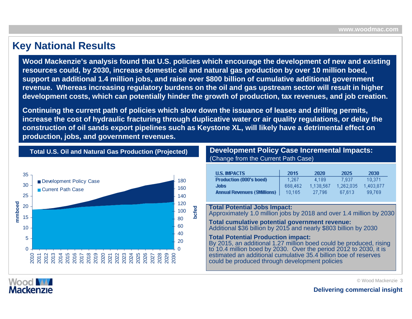### **Key National Results**

**Wood Mackenzie's analysis found that U.S. policies which encourage the development of new and existing resources could, by 2030, increase domestic oil and natural gas production by over 10 million boed, support an additional 1.4 million jobs, and raise over \$800 billion of cumulative additional government revenue. Whereas increasing regulatory burdens on the oil and gas upstream sector will result in higher development costs, which can potentially hinder the growth of production, tax revenues, and job creation.**

**Continuing the current path of policies which slow down the issuance of leases and drilling permits, increase the cost of hydraulic fracturing through duplicative water or air quality regulations, or delay the construction of oil sands export pipelines such as Keystone XL, will likely have a detrimental effect on production, jobs, and government revenues.**



**Total U.S. Oil and Natural Gas Production (Projected)**

**Development Policy Case Incremental Impacts:** (Change from the Current Path Case)

| <b>U.S. IMPACTS</b>                 | 2015    | 2020      | 2025      | 2030      |
|-------------------------------------|---------|-----------|-----------|-----------|
| <b>Production (000's boed)</b>      | 1.267   | 4.189     | 7.937     | 10.371    |
| Jobs                                | 668.462 | 1.138.567 | 1,262,035 | 1.403.877 |
| <b>Annual Revenues (\$Millions)</b> | 10,165  | 27.796    | 67.613    | 99,769    |

**Total Potential Jobs Impact:**  Approximately 1.0 million jobs by 2018 and over 1.4 million by 2030

**Total cumulative potential government revenue:** Additional \$36 billion by 2015 and nearly \$803 billion by 2030

#### **Total Potential Production impact:**

By 2015, an additional 1.27 million boed could be produced, rising to 10.4 million boed by 2030. Over the period 2012 to 2030, it is estimated an additional cumulative 35.4 billion boe of reserves could be produced through development policies



© Wood Mackenzie 3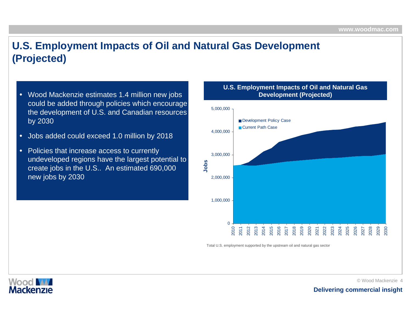# **U.S. Employment Impacts of Oil and Natural Gas Development (Projected)**

- Wood Mackenzie estimates 1.4 million new jobs could be added through policies which encourage the development of U.S. and Canadian resources by 2030
- •Jobs added could exceed 1.0 million by 2018
- • Policies that increase access to currently undeveloped regions have the largest potential to create jobs in the U.S.. An estimated 690,000 new jobs by 2030

#### **U.S. Employment Impacts of Oil and Natural Gas Dev elopment (Projected)**



Total U.S. employment supported by the upstream oil and natural gas sector



©Wood Mackenzie 4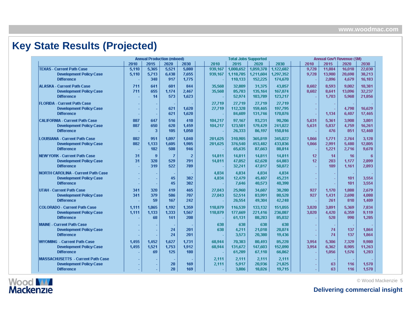# **Key State Results (Projected)**

|                                                     |        | <b>Annual Production (mboed)</b> |                |                |         | <b>Total Jobs Supported</b> |           |                  | Annual Gov't Revenue (\$M) |       |        |        |        |  |
|-----------------------------------------------------|--------|----------------------------------|----------------|----------------|---------|-----------------------------|-----------|------------------|----------------------------|-------|--------|--------|--------|--|
|                                                     | 2010   | 2015                             | 2020           | 2030           | 2010    | 2015                        | 2020      | 2030             |                            | 2010  | 2015   | 2020   | 2030   |  |
| <b>TEXAS - Current Path Case</b>                    | 5,110  | 5,365                            | 5,521          | 5,880          | 939,167 | 1,008,652                   | 1,059,378 | 1,122,682        |                            | 9,728 | 11,884 | 16,018 | 22,030 |  |
| <b>Development Policy Case</b>                      | 5,110  | 5,713                            | 6,438          | 7.655          | 939,167 | 1,118,785                   | 1,211,604 | 1,297,352        |                            | 9,728 | 13,980 | 20,698 | 38,213 |  |
| <b>Difference</b>                                   |        | 348                              | 917            | 1,775          | ÷.      | 110,133                     | 152,225   | 174,670          |                            |       | 2,096  | 4.679  | 16,183 |  |
| <b>ALASKA - Current Path Case</b>                   | 711    | 641                              | 601            | 844            | 35,568  | 32,809                      | 31,375    | 43,857           |                            | 8.602 | 8.593  | 9.002  | 10,381 |  |
| <b>Development Policy Case</b>                      | 711    | 655                              | 1,174          | 2,467          | 35,568  | 85,783                      | 135,164   | 167,074          |                            | 8,602 | 8,641  | 13,096 | 32,237 |  |
| <b>Difference</b>                                   | ÷      | 14                               | 573            | 1,623          |         | 52,974                      | 103,789   | 123,217          |                            |       | 1,703  | 5,968  | 21,856 |  |
| <b>FLORIDA - Current Path Case</b>                  | ÷,     |                                  |                |                | 27,719  | 27,719                      | 27,719    | 27,719           |                            |       |        |        |        |  |
| <b>Development Policy Case</b>                      | ÷.     | $\sim$                           | 621            | 1,620          | 27,719  | 112,328                     | 159,465   | 197,795          |                            |       |        | 4,798  | 16,629 |  |
| <b>Difference</b>                                   |        |                                  | 621            | 1,620          |         | 84,609                      | 131,746   | 170,076          |                            |       | 1,134  | 6,407  | 17,465 |  |
|                                                     |        |                                  |                |                |         |                             |           |                  |                            |       |        |        |        |  |
| <b>CALIFORNIA - Current Path Case</b>               | 887    | 647                              | 516            | 410            | 104,217 | 97,167                      | 93,231    | 90,206           |                            | 5,631 | 5,361  | 3,908  | 3,801  |  |
| <b>Development Policy Case</b>                      | 887    | 650                              | 620            | 1,459          | 104,217 | 123,501                     | 179,429   | 241,022          |                            | 5,631 | 5,837  | 4,759  | 16,261 |  |
| <b>Difference</b>                                   |        | 3                                | 105            | 1,050          |         | 26,333                      | 86,197    | 150,816          |                            |       | 476    | 851    | 12,460 |  |
| <b>LOUISIANA - Current Path Case</b>                | 882    | 951                              | 1.097          | 1.040          | 281,625 | 310,905                     | 365,819   | 345,022          |                            | 1.066 | 1,771  | 2,764  | 3,128  |  |
| <b>Development Policy Case</b>                      | 882    | 1,133                            | 1.605          | 1,985          | 281,625 | 376,540                     | 453,482   | 433,836          |                            | 1.066 | 2,991  | 5,480  | 12,805 |  |
| <b>Difference</b>                                   |        | 182                              | 508            | 946            |         | 65,635                      | 87,663    | 88,814           |                            |       | 1,221  | 2,716  | 9,678  |  |
| <b>NEW YORK - Current Path Case</b>                 | 31     | $\bf{9}$                         | $\overline{7}$ | $\overline{2}$ | 14,811  | 14,811                      | 14,811    | 14,811           |                            | 12    | 14     | 16     | 6      |  |
| <b>Development Policy Case</b>                      | 31     | 328                              | 529            | 791            | 14,811  | 47,052                      | 62,628    | 64,883           |                            | 12    | 203    | 1,177  | 2,899  |  |
| <b>Difference</b>                                   | $\sim$ | 319                              | 522            | 789            |         | 32,241                      | 47,817    | 50,072           |                            |       | 189    | 1,161  | 2,893  |  |
| NORTH CAROLINA - Current Path Case                  | ×.     |                                  |                |                | 4,834   | 4,834                       | 4,834     | 4,834            |                            |       |        |        |        |  |
| <b>Development Policy Case</b>                      | ×.     | ×.<br>$\sim$                     | ٠.<br>45       | 382            | 4,834   | 12,479                      | 45,407    | 45,231           |                            |       |        | 101    | 3,554  |  |
| <b>Difference</b>                                   |        |                                  | 45             | 382            |         | 7,646                       | 40,573    | 40,398           |                            |       |        | 101    | 3,554  |  |
|                                                     |        |                                  |                |                |         |                             |           |                  |                            |       |        |        |        |  |
| UTAH - Current Path Case                            | 341    | 320                              | 419            | 465            | 27,043  | 25,960                      | 34,687    | 38,280           |                            | 927   | 1,170  | 1,888  | 2,679  |  |
| <b>Development Policy Case</b>                      | 341    | 379                              | 586            | 707            | 27,043  | 52,514                      | 83,991    | 80,528           |                            | 927   | 1.431  | 2.698  | 4.088  |  |
| <b>Difference</b>                                   |        | 59                               | 167            | 242            |         | 26,554                      | 49,304    | 42,248           |                            |       | 261    | 810    | 1.409  |  |
| <b>COLORADO - Current Path Case</b>                 | 1.111  | 1,065                            | 1,192          | 1.359          | 118,879 | 116,539                     | 133,132   | 151,055          |                            | 3,020 | 3,891  | 5,369  | 7.834  |  |
| <b>Development Policy Case</b>                      | 1,111  | 1,133                            | 1.333          | 1,567          | 118,879 | 177,669                     | 221,416   | 236,087          |                            | 3,020 | 4.420  | 6,359  | 9,119  |  |
| <b>Difference</b>                                   |        | 68                               | 141            | 208            |         | 61,131                      | 88,283    | 85,032           |                            |       | 528    | 990    | 1,285  |  |
| <b>MAINE - Current Path Case</b>                    | ÷.     |                                  |                |                | 638     | 638                         | 638       | 638              |                            |       |        |        |        |  |
| <b>Development Policy Case</b>                      |        |                                  | 24             | 201            | 638     | 4,211                       | 21,018    | 20,074           |                            |       | 74     | 137    | 1.864  |  |
| <b>Difference</b>                                   |        |                                  | 24             | 201            |         | 3,573                       | 20,380    | 19,436           |                            |       | 74     | 137    | 1,864  |  |
| WYOMING - Current Path Case                         | 1,455  | 1,452                            | 1,627          | 1,731          | 68,944  | 70,383                      | 80,493    | 85,228           |                            | 3,954 | 5,306  | 7,329  | 9,980  |  |
| <b>Development Policy Case</b>                      | 1,455  | 1,521                            | 1,753          | 1,912          | 68,944  | 131,672                     | 147,603   | 152,090          |                            | 3,954 | 6,362  | 8,905  | 11,263 |  |
| <b>Difference</b>                                   |        | 69                               | 125            | 180            |         | 61,289                      | 67,110    | 66,862           |                            |       | 1,056  | 1,576  | 1,283  |  |
|                                                     |        |                                  |                |                |         |                             |           |                  |                            |       |        |        |        |  |
| <b>MASSACHUSETTS - Current Path Case</b>            |        |                                  | 20             | 169            | 2,111   | 2,111                       | 2,111     | 2,111            |                            |       | 63     | 116    |        |  |
| <b>Development Policy Case</b><br><b>Difference</b> | $\sim$ | ÷                                | 20             | 169            | 2,111   | 5,917<br>3,806              | 20,936    | 21,825<br>19,715 |                            |       | 63     | 116    | 1,570  |  |
|                                                     |        | ÷.                               |                |                |         |                             | 18,826    |                  |                            |       |        |        | 1,570  |  |



© Wood Mackenzie 5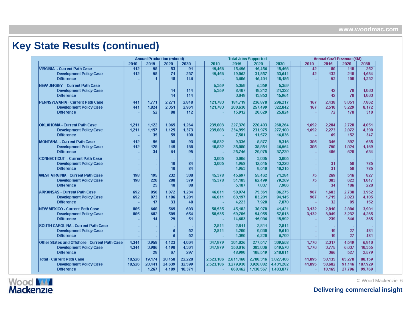# **Key State Results (continued)**

|                                               |        | <b>Annual Production (mboed)</b> |        |        | <b>Total Jobs Supported</b> |           |           | Annual Gov't Revenue (\$M) |        |        |        |         |  |
|-----------------------------------------------|--------|----------------------------------|--------|--------|-----------------------------|-----------|-----------|----------------------------|--------|--------|--------|---------|--|
|                                               | 2010   | 2015                             | 2020   | 2030   | 2010                        | 2015      | 2020      | 2030                       | 2010   | 2015   | 2020   | 2030    |  |
| VIRGINIA - Current Path Case                  | 112    | 58                               | 53     | 91     | 15,456                      | 15,456    | 15,456    | 15,456                     | 42     | 80     | 118    | 252     |  |
| <b>Development Policy Case</b>                | 112    | 58                               | 71     | 237    | 15,456                      | 19,062    | 31,857    | 33,641                     | 42     | 133    | 218    | 1,584   |  |
| <b>Difference</b>                             |        | $\mathbf{1}$                     | 18     | 146    |                             | 3,606     | 16,401    | 18,185                     |        | 53     | 100    | 1,332   |  |
| NEW JERSEY - Current Path Case                |        |                                  |        |        | 5,359                       | 5,359     | 5,359     | 5,359                      |        |        |        |         |  |
| <b>Development Policy Case</b>                |        | $\sim$                           | 14     | 114    | 5,359                       | 8,407     | 19,212    | 21,322                     |        | 42     | 78     | 1.063   |  |
| <b>Difference</b>                             |        |                                  | 14     | 114    |                             | 3,049     | 13,853    | 15,964                     |        | 42     | 78     | 1,063   |  |
| PENNSYLVANIA - Current Path Case              | 441    | 1,771                            | 2,271  | 2,848  | 121,783                     | 184,719   | 236,870   | 296,217                    | 167    | 2,438  | 5.051  | 7,862   |  |
| <b>Development Policy Case</b>                | 441    | 1,824                            | 2,351  | 2,961  | 121,783                     | 200,630   | 257,499   | 322,042                    | 167    | 2,510  | 5,229  | 8,172   |  |
| <b>Difference</b>                             |        | 52                               | 80     | 112    |                             | 15,912    | 20,629    | 25,824                     |        | 72     | 178    | 310     |  |
|                                               |        |                                  |        |        |                             |           |           |                            |        |        |        |         |  |
| OKLAHOMA - Current Path Case                  | 1,211  | 1,122                            | 1,065  | 1,264  | 239,883                     | 227,378   | 220,403   | 260,264                    | 1,692  | 2,204  | 2,720  | 4,051   |  |
| <b>Development Policy Case</b>                | 1,211  | 1,157                            | 1,125  | 1,373  | 239,883                     | 234,959   | 231,975   | 277,100                    | 1.692  | 2,273  | 2,872  | 4,398   |  |
| <b>Difference</b>                             |        | 35                               | 59     | 108    |                             | 7,581     | 11,572    | 16,836                     |        | 69     | 152    | 347     |  |
| <b>MONTANA</b> - Current Path Case            | 112    | 95                               | 88     | 93     | 10,832                      | 9,335     | 8,877     | 9,316                      | 305    | 345    | 397    | 535     |  |
| <b>Development Policy Case</b>                | 112    | 128                              | 149    | 188    | 10,832                      | 35,080    | 38,851    | 46,554                     | 305    | 750    | 1,024  | 1,169   |  |
| <b>Difference</b>                             |        | 34                               | 61     | 95     |                             | 25,745    | 29,975    | 37,239                     |        | 405    | 628    | 634     |  |
|                                               |        |                                  |        |        |                             |           |           |                            |        |        |        |         |  |
| <b>CONNECTICUT - Current Path Case</b>        |        |                                  |        |        | 3,005                       | 3,005     | 3,005     | 3,005                      |        |        |        |         |  |
| <b>Development Policy Case</b>                |        | $\sim$                           | 10     | 84     | 3,005                       | 4,958     | 12,545    | 13,220                     |        | 31     | 58     | 785     |  |
| <b>Difference</b>                             |        | ÷.                               | 10     | 84     |                             | 1,953     | 9,540     | 10,215                     |        | 31     | 58     | 785     |  |
| WEST VIRGINIA - Current Path Case             | 198    | 195                              | 232    | 300    | 45,378                      | 45,697    | 55,462    | 71,284                     | 75     | 269    | 516    | 827     |  |
| <b>Development Policy Case</b>                | 198    | 220                              | 280    | 379    | 45,378                      | 51,185    | 62,499    | 79,269                     | 75     | 303    | 622    | 1,047   |  |
| <b>Difference</b>                             |        | 25                               | 48     | 80     |                             | 5,487     | 7,037     | 7,986                      |        | 34     | 106    | 220     |  |
| <b>ARKANSAS - Current Path Case</b>           | 692    | 856                              | 1.072  | 1,234  | 46,611                      | 58,974    | 75,361    | 86,275                     | 967    | 1.683  | 2,738  | 3,952   |  |
| <b>Development Policy Case</b>                | 692    | 873                              | 1,106  | 1.281  | 46,611                      | 63,197    | 83,281    | 94,145                     | 967    | 1,715  | 2,823  | 4,105   |  |
| <b>Difference</b>                             |        | 17                               | 33     | 48     |                             | 4,223     | 7,920     | 7,870                      |        | 32     | 85     | 152     |  |
| NEW MEXICO - Current Path Case                | 885    | 668                              | 565    | 603    | 58,535                      | 45,182    | 38,970    | 41,421                     | 3,132  | 2,810  | 2,886  | 3,901   |  |
| <b>Development Policy Case</b>                | 885    | 682                              | 589    | 654    | 58,535                      | 59,785    | 54,955    | 57,013                     | 3.132  | 3.049  | 3,232  | 4.265   |  |
| <b>Difference</b>                             |        | 14                               | 25     | 51     |                             | 14,603    | 15,986    | 15,592                     |        | 239    | 346    | 365     |  |
| <b>SOUTH CAROLINA - Current Path Case</b>     |        | $\sim$                           |        |        | 2,811                       | 2,811     | 2,811     | 2,811                      |        |        |        |         |  |
| <b>Development Policy Case</b>                |        | ÷.                               | 6      | 52     | 2,811                       | 4,200     | 9,030     | 9.610                      |        | 19     | 27     | 481     |  |
| <b>Difference</b>                             |        |                                  | 6      | 52     |                             | 1,390     | 6,220     | 6,799                      |        | 19     | 27     | 481     |  |
| Other States and Offshore - Current Path Case | 4,344  | 3,958                            | 4,123  | 4,064  | 347,979                     | 301,026   | 277,517   | 309,558                    | 1,776  | 2,317  | 4,549  | 6,940   |  |
| <b>Development Policy Case</b>                | 4,344  | 3,986                            | 4,190  | 4,361  | 347,979                     | 350,016   | 383,036   | 519,570                    | 1,776  | 3,775  | 6,637  | 10,355  |  |
| <b>Difference</b>                             |        | 28                               | 67     | 297    |                             | 48,990    | 105,519   | 210,011                    |        | 366    | 527    | 2,579   |  |
| Total - Current Path Case                     | 18,526 | 19,174                           | 20,450 | 22,228 | 2,523,186                   | 2,611,468 | 2,788,316 | 3,027,406                  | 41,095 | 50,135 | 65,270 | 88,159  |  |
| <b>Development Policy Case</b>                | 18,526 | 20,441                           | 24,639 | 32,599 | 2,523,186                   | 3,279,930 | 3,926,882 | 4,431,282                  | 41,095 | 58,602 | 91,146 | 187,929 |  |
| <b>Difference</b>                             |        | 1,267                            | 4,189  | 10,371 |                             | 668,462   | 1,138,567 | 1,403,877                  |        | 10,165 | 27,796 | 99,769  |  |



©Wood Mackenzie 6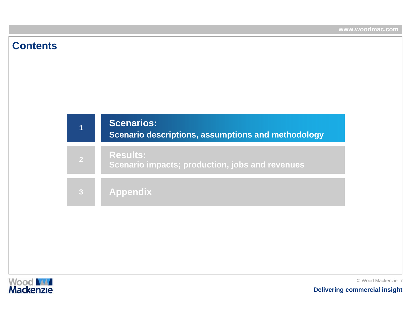### **Contents**





© Wood Mackenzie 7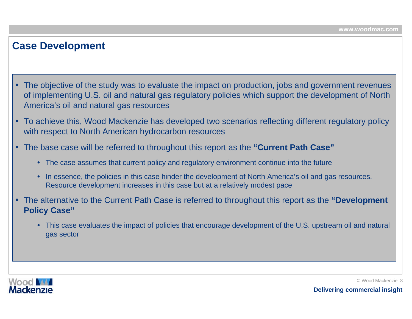### **Case Development**

- The objective of the study was to evaluate the impact on production, jobs and government revenues of implementing U.S. oil and natural gas regulatory policies which support the development of North America's oil and natural gas resources
- To achieve this, Wood Mackenzie has developed two scenarios reflecting different regulatory policy with respect to North American hydrocarbon resources
- • The base case will be referred to throughout this report as the **"Current Path Case"**
	- The case assumes that current policy and regulatory environment continue into the future
	- In essence, the policies in this case hinder the development of North America's oil and gas resources. Resource development increases in this case but at a relatively modest pace
- • The alternative to the Current Path Case is referred to throughout this report as the **"Development Policy Case"**
	- This case evaluates the impact of policies that encourage development of the U.S. upstream oil and natural gas sector

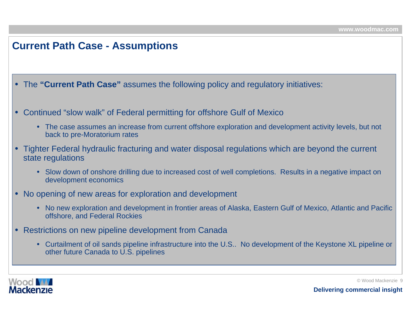### **Current Path Case - Assumptions**

- •The **"Current Path Case"** assumes the following policy and regulatory initiatives:
- Continued "slow walk" of Federal permitting for offshore Gulf of Mexico
	- The case assumes an increase from current offshore exploration and development activity levels, but not back to pre-Moratorium rates
- Tighter Federal hydraulic fracturing and water disposal regulations which are beyond the current state regulations
	- Slow down of onshore drilling due to increased cost of well completions. Results in a negative impact on development economics
- No opening of new areas for exploration and development
	- No new exploration and development in frontier areas of Alaska, Eastern Gulf of Mexico, Atlantic and Pacific offshore, and Federal Rockies
- $\bullet$  Restrictions on new pipeline development from Canada
	- Curtailment of oil sands pipeline infrastructure into the U.S.. No development of the Keystone XL pipeline or other future Canada to U.S. pipelines

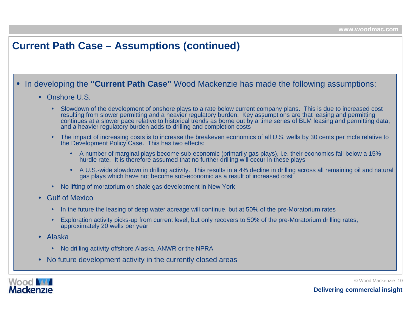## **Current Path Case – Assumptions (continued)**

#### •In developing the **"Current Path Case"** Wood Mackenzie has made the following assumptions:

#### • Onshore U.S.

- • Slowdown of the development of onshore plays to a rate below current company plans. This is due to increased cost resulting from slower permitting and a heavier regulatory burden. Key assumptions are that leasing and permitting continues at a slower pace relative to historical trends as borne out by a time series of BLM leasing and permitting data, and a heavier regulatory burden adds to drilling and completion costs
- • The impact of increasing costs is to increase the breakeven economics of all U.S. wells by 30 cents per mcfe relative to the Development Policy Case. This has two effects:
	- A number of marginal plays become sub-economic (primarily gas plays), i.e. their economics fall below a 15% hurdle rate. It is therefore assumed that no further drilling will occur in these plays
	- A U.S.-wide slowdown in drilling activity. This results in a 4% decline in drilling across all remaining oil and natural gas plays which have not become sub-economic as a result of increased cost
- No lifting of moratorium on shale gas development in New York
- • Gulf of Mexico
	- •In the future the leasing of deep water acreage will continue, but at 50% of the pre-Moratorium rates
	- • Exploration activity picks-up from current level, but only recovers to 50% of the pre-Moratorium drilling rates, approximately 20 wells per year
- Alaska
	- No drilling activity offshore Alaska, ANWR or the NPRA
- •No future development activity in the currently closed areas



© Wood Mackenzie 10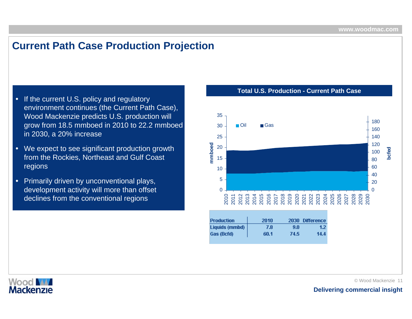### **Current Path Case Production Projection**

- $\bullet$ If the current U.S. policy and regulatory environment continues (the Current Path Case), Wood Mackenzie predicts U.S. production will grow from 18.5 mmboed in 2010 to 22.2 mmboed in 2030, a 20% increase
- •We expect to see significant production growth from the Rockies, Northeast and Gulf Coast regions
- • Primarily driven by unconventional plays, development activity will more than offset declines from the conventional regions



**Total U.S. Production -Current Path Case**

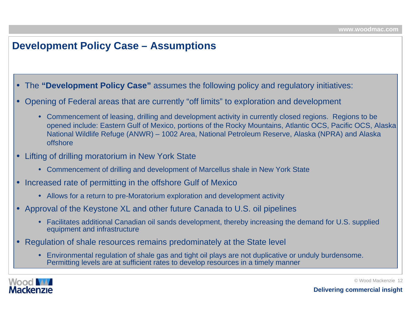### **Development Policy Case – Assumptions**

• The **"Development Policy Case"** assumes the following policy and regulatory initiatives:

- • Opening of Federal areas that are currently "off limits" to exploration and development
	- Commencement of leasing, drilling and development activity in currently closed regions. Regions to be opened include: Eastern Gulf of Mexico, portions of the Rocky Mountains, Atlantic OCS, Pacific OCS, Alaska National Wildlife R efuge (ANWR) – 1002 Area, National Petroleum Reserve, Alaska (NPRA) and Alaska offshore
- Lifting of drilling moratorium in New York State
	- Commencement of drilling and development of Marcellus shale in New York State
- • Increased rate of permitting in the offshore Gulf of Mexico
	- Allows for a return to pre-Moratorium exploration and development activity
- Approval of the Keystone XL and other future Canada to U.S. oil pipelines
	- Facilitates additional Canadian oil sands development, thereby increasing the demand for U.S. supplied equipment and infrastructure
- $\bullet$  Regulation of shale resources remains predominately at the State level
	- • Environmental regulation of shale gas and tight oil plays are not duplicative or unduly burdensome. Permitting levels are at sufficient rates to develop resources in a timely manner



©Wood Mackenzie 12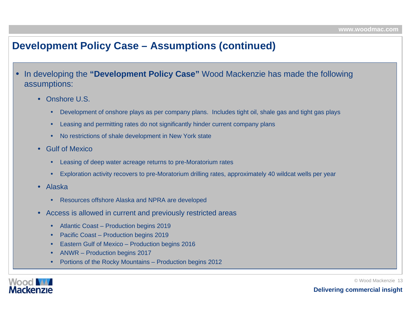### **Development Policy Case – Assumptions (continued)**

- • In developing the **"Development Policy Case"** Wood Mackenzie has made the following assumptions:
	- Onshore U.S.
		- •• Development of onshore plays as per company plans. Includes tight oil, shale gas and tight gas plays
		- •Leasing and permitting rates do not significantly hinder c urrent company plans
		- •No restrictions of shale development i n New York state
	- • Gulf of Mexico
		- •Leasing of deep w ater acreage returns to pre-Moratori um rates
		- •Exploration activity recovers to pre-Moratorium drilling rates, approximately 40 wildcat wells per year
	- • Alaska
		- •Resources offshore Alaska and N PRA are devel oped
	- • Access is allowed in current and previously restricted areas
		- •• Atlantic Coast – Production begins 2019
		- •• Pacific Coast – Production begins 2019
		- •• Eastern Gulf of Mexico – Production begins 2016
		- •ANWR – Production begins 2017
		- •• Portions of the Rocky Mountains – Production begins 2012



©Wood Mackenzie 13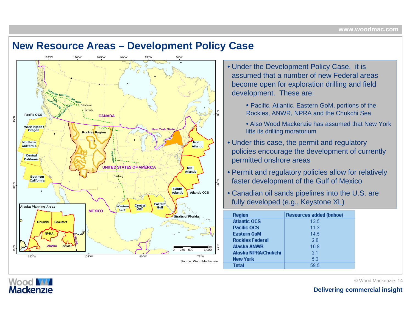### **New Resource Areas – Development Policy Case**



- Under the Development Policy Case, it is assumed that a number of new Federal areas become open for exploration drilling and field development. These are:
	- Pacific, Atlantic, Eastern GoM, portions of the Rockies, ANWR, NPRA and the Chukchi Sea
	- Also Wood Mackenzie has assumed that New York lifts its drilling moratorium
- Under this case, the permit and regulatory policies encourage the development of currently permitted onshore areas
- Permit and regulatory policies allow for relatively faster development of the Gulf of Mexico
- Canadian oil sands pipelines into the U.S. are fully developed (e.g., Keystone XL)

| <b>Region</b>          | <b>Resources added (bnboe)</b> |
|------------------------|--------------------------------|
| <b>Atlantic OCS</b>    | 13.5                           |
| Pacific OCS            | 11.3                           |
| <b>Eastern GoM</b>     | 14.5                           |
| <b>Rockies Federal</b> | 2 N                            |
| Alaska ANWR            | 10.8                           |
| Alaska NPRA/Chukchi    | -21                            |
| <b>New York</b>        | 5.3                            |
| Total                  | 59.5                           |

**Wood MA Mackenzie**  © Wood Mackenzie 14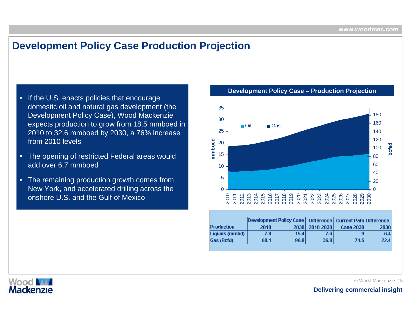### **Development Policy Case Production Projection**

- • If the U.S. enacts policies that encourage domestic oil and natural gas development (the Development Policy Case), Wood Mackenzie expects production to grow from 18.5 mmboed in 2010 to 32.6 mmboed by 2030, a 76% increase from 2010 l evels
- The opening of restricted Federal areas would add over 6.7 mmboed
- • The remaining production growth comes from New York, and accelerated drilling across the onshore U.S. and the Gulf of Mexico

3518030160Oil■ Gas 25140120mmboed **mmboed** 20**bcfed** 10015 80601040520 $\Omega$  $\Omega$ 2010 2011 2012 2013 2014 2015 2016 2017 2018 2019 2020 2021 2022 2023 2024 2025 2026 2027 2028 2029 2030

|                   | <b>Development Policy Case   Difference   Current Path Difference</b> |      |                |                  |      |
|-------------------|-----------------------------------------------------------------------|------|----------------|------------------|------|
| <b>Production</b> | 2010                                                                  |      | 2030 2010-2030 | <b>Case 2030</b> | 2030 |
| Liquids (mmbd)    | 7.8                                                                   | 15.4 | 7.6 I          | q                | 6.4  |
| Gas (Bcfd)        | 60.1                                                                  | 96.9 | 36.8           | 74.5             | 22.4 |



Wood **M Mackenzie**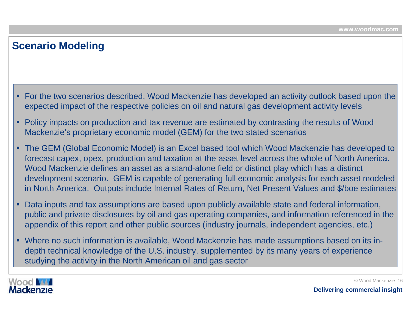### **Scenario Modeling**

- $\bullet~$  For the two scenarios described, Wood Mackenzie has developed an activity outlook based upon the $\mid$ expected impact of the respective policies on oil and natural gas development activity levels
- • Policy impacts on production and tax revenue are estimated by contrasting the results of Wood Mackenzie's proprietary economic model (GEM) for the two stated scenarios
- The GEM (Global Economic Model) is an Excel based tool which Wood Mackenzie has developed to forecast capex, opex, production and taxation at the asset level across the whole of North America. Wood Mackenzie defines an asset as a stand-alone field or distinct play which has a distinct development scenario. GEM is capable of generating full economic analysis for each asset modeled in North America. Outputs include Internal Rates of Return, Net Present Values and \$/boe estimates
- • Data inputs and tax assumptions are based upon publicly available state and federal information, public and private disclosures by oil and gas operating companies, and information referenced in the appendix of this report and other public sources (industry journals, independent agencies, etc.)
- Where no such information is available, Wood Mackenzie has made assumptions based on its indepth technical knowledge of the U.S. industry, supplemented by its many years of experience studying the activity in the North American oil and gas sector

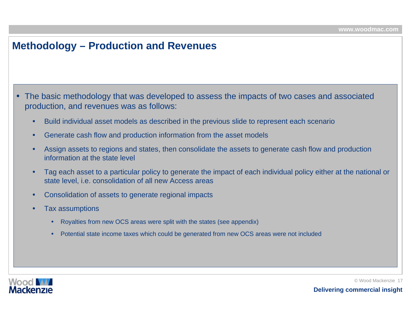### **Methodology – Production and Revenues**

• The basic methodology that was developed to assess the impacts of two cases and associated production, and revenues was as follows:

- •Build individual asset models as described in the previous slide to represent each scenario
- •Generate cash flow and production information from the asset models
- • Assign assets to regions and states, then consolidate the assets to generate cash flow and production information at the state level
- • Tag each asset to a particular policy to generate the impact of each individual policy either at the national or state level, i.e. consolidation of all new Access areas
- •Consolidation of assets to generate regional impacts
- • Tax assumptions
	- •Royalties from new OCS areas were split with the states (see appendix)
	- •Potential state income taxes which could be generated from new OCS areas were not included



© Wood Mackenzie 17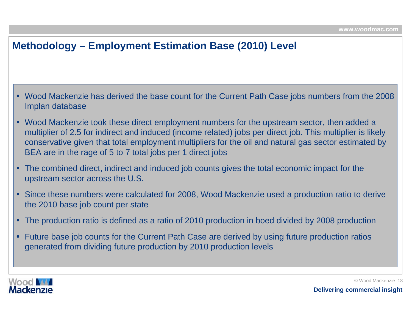# **Methodology – Employment Estimation Base (2010) Level**

- Wood Mackenzie has derived the base count for the Current Path Case jobs numbers from the 2008 Implan database
- • Wood Mackenzie took these direct employment numbers for the upstream sector, then added a multiplier of 2.5 for indirect and induced (income related) jobs per direct job. This multiplier is likely conservative given that total employment multipliers for the oil and natural gas sector estimated by BEA are in the rage of 5 to 7 total jobs per 1 direct jobs
- The combined direct, indirect and induced job counts gives the total economic impact for the upstream sector across the U.S.
- Since these numbers were calculated for 2008, Wood Mackenzie used a production ratio to derive the 2010 base job count per state
- The production ratio is defined as a ratio of 2010 production in boed divided by 2008 production
- $\bullet$  Future base job counts for the Current Path Case are derived by using future production ratios generated from dividing future production by 2010 production levels

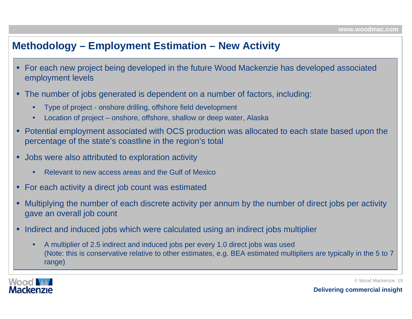### **Methodology – Employment Estimation – New Activity**

- • For each new project being developed in the future Wood Mackenzie has developed associated employment levels
- The number of jobs generated is dependent on a number of factors, including:
	- •Type of project - onshore drilling, offshore field development
	- •Location of project – onshore, offshore, shallow or deep water, Alaska
- • Potential employment associated with OCS production was allocated to each state based upon the percentage of the state's coastline in the region's total
- • Jobs were also attributed to exploration activity
	- •Relevant to new access areas and the Gulf of Mexico
- For each activity a direct job count was estimated
- • Multiplying the number of each discrete activity per annum by the number of direct jobs per activity gave an overall job count
- $\bullet$  Indirect and induced jobs which were calculated using an indirect jobs multiplier
	- • A multiplier of 2.5 indirect and induced jobs per every 1.0 direct jobs was used (Note: this is conservative relative to other estimates, e.g. BEA estimated multipliers are typically in the 5 to 7 range)



© Wood Mackenzie 19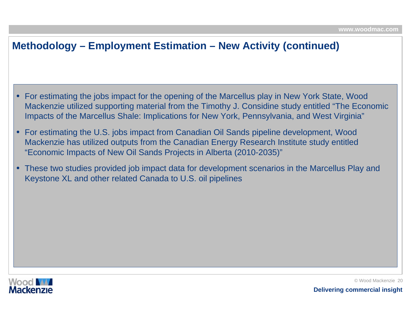## **Methodology – Employment Estimation – New Activity (continued)**

- For estimating the jobs impact for the opening of the Marcellus play in New York State, Wood Mackenzie utilized supporting material from the Timothy J. Considine study entitled "The Economic Impacts of the Marcellus Shale: Implications for New York, Pennsylvania, and West Virginia"
- • For estimating the U.S. jobs impact from Canadian Oil Sands pipeline development, Wood Mackenzie has utilized outputs from the Canadian Energy Research Institute study entitled "Economic Impacts of New Oil Sands Projects in Alberta (2010-2035)"
- • These two studies provided job impact data for development scenarios in the Marcellus Play and Keystone XL and other related Canada to U.S. oil pipelines

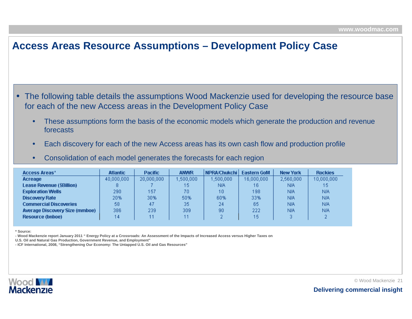### **Access Areas Resource Assumptions – Development Policy Case**

• The following table details the assumptions Wood Mackenzie used for developing the resource base for each of the new A ccess areas in the Development Policy Case

- • These assumptions form the basis of the economic models which generate the production and revenue forecasts
- •Each discovery for each of the new Access areas has its own cash flow and production profile
- •Consolidation of each model generates the forecasts for each region

| <b>Access Areas*</b>                  | <b>Atlantic</b> | <b>Pacific</b> | <b>ANWR</b> | NPRA/Chukchi | <b>Eastern GoM</b> | <b>New York</b> | <b>Rockies</b> |
|---------------------------------------|-----------------|----------------|-------------|--------------|--------------------|-----------------|----------------|
| <b>Acreage</b>                        | 40,000,000      | 20,000,000     | 1,500,000.  | ,500,000     | 16,000,000         | 2,560,000       | 10,000,000     |
| <b>Lease Revenue (\$Billion)</b>      |                 |                | 15          | N/A.         | 16                 | N/A             | 15             |
| <b>Exploration Wells</b>              | 290             | 157            | 70          | 10           | 198                | ΝA              | <b>N/A</b>     |
| <b>Discovery Rate</b>                 | 20%             | 30%            | 50%         | 60%          | 33%                | ΝA              | <b>N/A</b>     |
| <b>Commercial Discoveries</b>         | 58              | 47             | 35          | 24           | 65                 | ΝA              | <b>N/A</b>     |
| <b>Average Discovery Size (mmboe)</b> | 386             | 239            | 309         | 90           | 222                | ΝA              | <b>N/A</b>     |
| <b>Resource (bnboe)</b>               | 14              |                |             |              | 15                 | 3.              | o              |

**\* Source:**

**- Wood Mackenzie report January 2011 " Energy Policy at a Crossroads: An Assessment of the I mpacts of Increased Access versus Higher Taxes on** 

**U.S. Oil and Natural Gas Production, Government Revenue, and Employment"**

**- ICF International, 2008, "Strengthening Our Economy: The Untapped U.S. Oil and Gas Resources"**

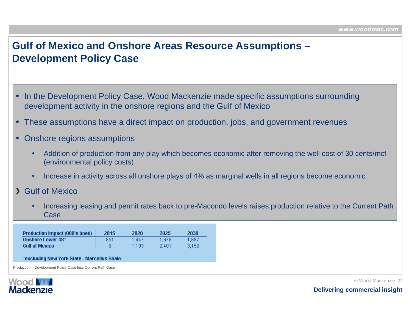# **Gulf of Mexico and Onshore Areas Resource Assumptions – Development Policy Case**

- •In the Development Policy Case, Wood Mackenzie made specific assumptions surrounding development activity in the onshore regions and the Gulf of Mexico
- •These assumptions have a direct impact on production, jobs, and government revenues
- • Onshore regions assumptions
	- • Addition of production from any play which becomes economic after removing the well cost of 30 cents/mcf (environmental policy costs)
	- •Increase in activity across all onshore plays of 4% as marginal wells in all regions become economic
- Gulf of Mexico
	- • Increasing leasing and permit rates back to pre-Macondo levels raises production relative to the Current Path Case

| <b>Production Impact (000's boed)</b> | 2015 | 2020  | 2025  | 2030  |
|---------------------------------------|------|-------|-------|-------|
| Onshore Lower 48*                     | 851  | 1.447 | 1.678 | 1.887 |
| <b>Gulf of Mexico</b>                 |      | 1.183 | 2.401 | 3.150 |

#### \*excluding New York State - Marcellus Shale

Production – Development Policy Case less Current Path Case

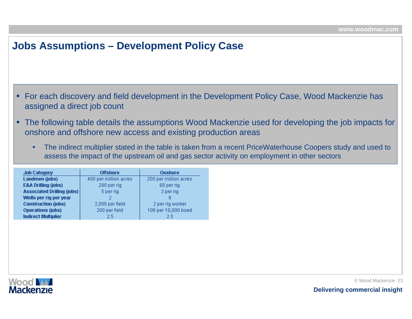### **Jobs Assumptions – Development Policy Case**

- • For each discovery and field development in the Development Policy Case, Wood Mackenzie has assigned a direct job count
- • The following table details the assumptions Wood Mackenzie used for developing the job impacts for onshore and offshore new access and existing production areas
	- • The indirect multiplier stated in the table is taken from a recent PriceWaterhouse Coopers study and used to assess the impact of the upstream oil and gas sector activity on employment in other sectors

| <b>Job Category</b>               | <b>Offshore</b>       | <b>Onshore</b>        |
|-----------------------------------|-----------------------|-----------------------|
| Landmen (jobs)                    | 400 per million acres | 200 per million acres |
| <b>E&amp;A Drilling (jobs)</b>    | 280 per rig           | 60 per rig            |
| <b>Associated Drilling (jobs)</b> | 5 per rig             | 3 per rig             |
| Wells per rig per year            |                       | я                     |
| <b>Construction (jobs)</b>        | 2,000 per field       | 2 per rig worker      |
| <b>Operations (jobs)</b>          | 200 per field         | 100 per 10,000 boed   |
| <b>Indirect Multiplier</b>        | 2.5                   | 2.5                   |

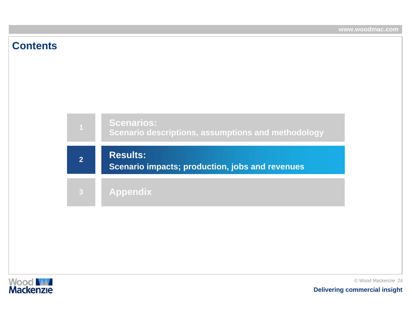### **Contents**



### **Results:**

**Scenario impacts; production, jobs and revenues**

**Appendix**

**2**

**3**

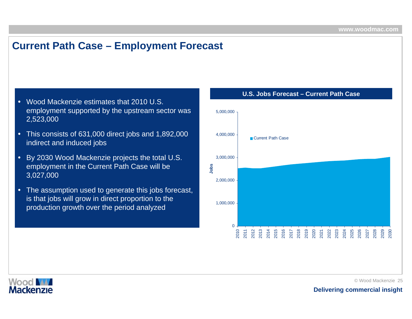### **Current Path Case – Employment Forecast**

- Wood Mackenzie estimates that 2010 U.S. employment supported by the upstream sector was 2,523,000
- This consists of 631,000 direct jobs and 1,892,000 indirect and induced jobs
- • By 2030 Wood Mackenzie projects the total U.S. employment in the Current Path Case will be 3,027,000
- The assumption used to generate this jobs forecast, is that jobs will grow in direct proportion to the production growth over the period analyzed



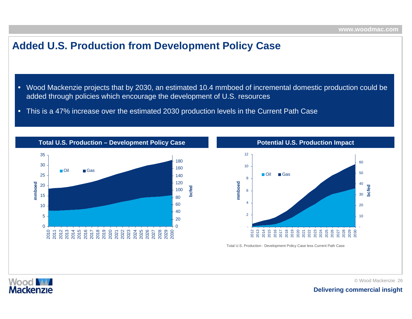### **Added U.S. Production from Development Policy Case**

- Wood Mackenzie projects that by 2030, an estimated 10.4 mmboed of incremental domestic production could be added through policies which encourage the development of U.S. resources
- This is a 47% increase over the estimated 2030 production levels in the Current Path Case



**Total U.S. Production – Development Policy Case**



Total U.S. Production : Development Policy Case less Current Path Case



© Wood Mackenzie 26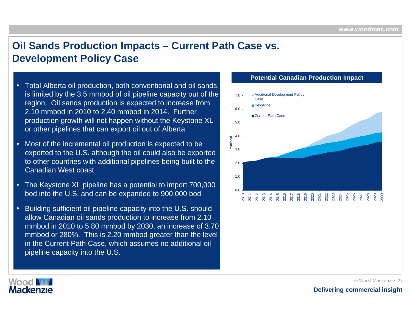# **Oil Sands Production Impacts – Current Path Case vs. Development Policy Case**

- Total Alberta oil production, both conventional and oil sands, is limited by the 3.5 mmbod of oil pipeline capacity out of the region. Oil sands production is expected to increase from 2.10 mmbod in 2010 to 2.40 mmbod in 2014. Further production growth will not happen without the Keystone XL or other pipelines that can export oil out of Alberta
- • Most of the incremental oil production is expected to be exported to the U.S. although the oil could also be exported to other countries with additional pipelines bei ng built to the Canadian West coast
- • The Keystone XL pipeline has a potential to import 700,000 bod into the U.S. and can be expanded to 900,000 bod
- •Building sufficient oil pipeline capacity into the U.S. should allow Canadian oil sands production to increase from 2.10 mmbod in 2010 to 5.80 mmbod by 2030, an increase of 3.70 mmbod or 280%. This is 2.20 mmbod greater than the level in the Current Path Case, which assumes no additional oil pipeli ne capacity i nto the U.S.

#### **Potential Canadian Production Impact**



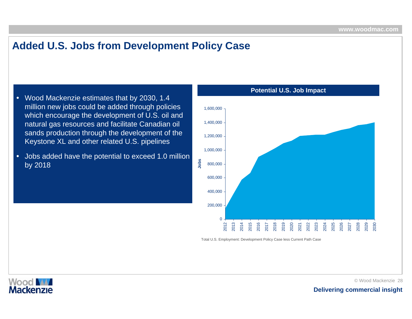# **Added U.S. Jobs from Development Policy Case**

- Wood Mackenzie estimates that by 2030, 1.4 million new jobs could be added through policies which encourage the development of U.S. oil and natural gas resources and facilitate Canadian oil sands production through the development of the Keystone XL and other related U.S. pipelines
- • Jobs added have the potential to exceed 1.0 million by 2018



Total U.S. Employment: Development Policy Case less Current Path Case



©Wood Mackenzie 28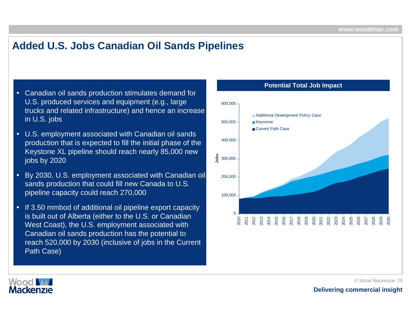# **Added U.S. Jobs Canadian Oil Sands Pipelines**

- Canadian oil sands production stimulates demand for U.S. produced services and equipment (e.g., large trucks and related infrastructure) and hence an increase in U.S. jobs
- • U.S. employment associated with Canadian oil sands production that is expected to fill the initial phase of the Keystone XL pipeline should reach nearly 85,000 new jobs by 2020
- • By 2030, U.S. employment associated with Canadian oil sands production that could fill new Canada to U.S. pipeli ne capacity could reach 270,000
- •• If 3.50 mmbod of additional oil pipeline export capacity is built out of Alberta (either to the U.S. or Canadian West Coast), the U.S. employment associated with Canadian oil sands production has the potential to reach 520,000 by 2030 (inclusive of jobs in the Current Path Case)

#### **Potential Total Job Impact**



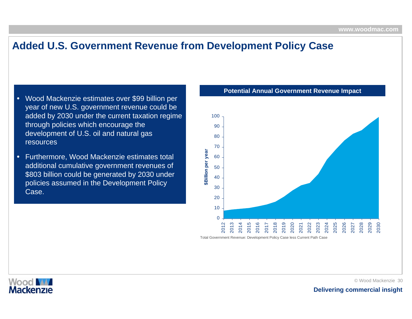### **Added U.S. Government Revenue from Development Policy Case**

- • Wood Mackenzie estimates over \$99 billion per year of new U.S. government revenue could be added by 2030 under the current taxation regime through policies which encourage the development of U.S. oil and natural gas resources
- • Furthermore, Wood Mackenzie estimates total additional cumulative government revenues of \$803 billion could be generated by 2030 under policies assumed in the Development Policy Case.

#### **Potential Annual Government Revenue Impact**



Total Government Revenue: Development Policy Case less Current Path Case

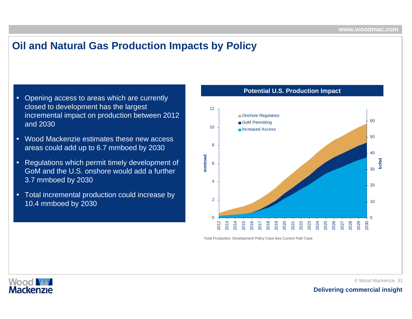# **Oil and Natural Gas Production Impacts by Policy**

- • Opening access to areas which are currently closed to development has the largest incremental impact on production between 2012 and 2030
- • Wood Mackenzie estimates these new accessareas could add up to 6.7 mmboed by 2030
- • Regulations which permit timely development of GoM and the U.S. onshore would add a further 3.7 mmboed by 2030
- • Total incremental production could increase by 10.4 mmboed by 2030



**Potential U.S. Production Impact**

Total Production: Development Policy Case less Current Path Case

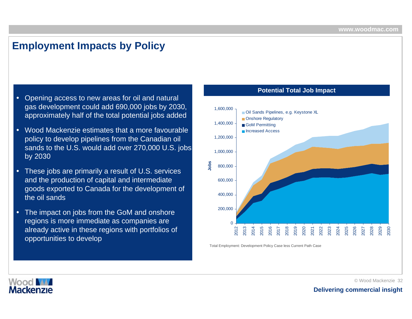### **Employment Impacts by Policy**

- • Opening access to new areas for oil and natural gas development could add 690,000 jobs by 2030, approximately half of the total potential jobs added
- • Wood Mackenzie estimates that a more favourable policy to develop pipelines from the Canadian oil sands to the U.S. would add over 270,000 U.S. jobs by 2030
- These jobs are primarily a result of U.S. servi ces and the production of capital and intermediate goods exported to Canada for the development of the oil sands
- •• The impact on jobs from the GoM and onshore regions is more immediate as companies are already active in these regions with portfolios of opportunities to develop

#### **Potential Total Job Impact**



Total Employment: Development Policy Case less Current Path Case

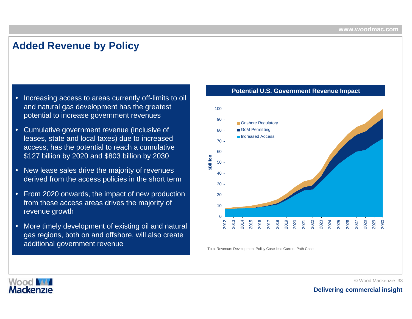### **Added Revenue by Policy**

- • Increasing access to areas currently off-limits to oil and natural gas development has the greatest potential to increase government revenues
- • Cumulative government revenue (inclusive of leases, state and local taxes) due to increased access, has the potential to reach a cumulative \$127 billion by 2020 and \$803 billion by 2030
- •New lease sales drive the majority of revenues derived from the access policies in the short term
- • From 2020 onwards, the impact of new production from these access areas drives the majority of revenue growth
- • More timely development of existing oil and natural gas regions, both on and offshore, will also create additional government revenue

#### **Potential U.S. Government Revenue Impact**



Total Revenue: Development Policy Case less Current Path Case

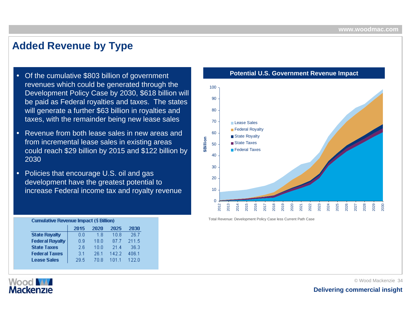### **Added Revenue by Type**

- Of the cumulative \$803 billion of government revenues which could be generated through the Development Policy Case by 2030, \$618 billion will be paid as Federal royalties and taxes. The states will generate a further \$63 billion in royalties and taxes, with the remainder being new lease sales
- • Revenue from both lease sales in new areas and from incremental lease sales in existing areas could reach \$29 billion by 2015 and \$122 billion by 2030
- Policies that encourage U.S. oil and gas development have the greatest potential to increase Federal income tax and royalty revenue

|                        | <b>Cumulative Revenue Impact (\$ Billion)</b> |       |       |       |  |  |  |  |
|------------------------|-----------------------------------------------|-------|-------|-------|--|--|--|--|
|                        | 2015                                          | 2020  | 2025  | 2030  |  |  |  |  |
| <b>State Royalty</b>   | 0.O                                           | 1.8   | 10.8  | 26.7  |  |  |  |  |
| <b>Federal Royalty</b> | N 9                                           | 18 N  | 87.7  | 211.5 |  |  |  |  |
| <b>State Taxes</b>     | 2 R                                           | 1 N N | 21.4  | 36.3  |  |  |  |  |
| <b>Federal Taxes</b>   | 31                                            | 26.1  | 1422  | 406.1 |  |  |  |  |
| <b>Lease Sales</b>     | 29.5                                          | 70 R  | 1 N 1 | 122 በ |  |  |  |  |

**Potential U.S. Government Revenue Impact**



Total Revenue: Development Policy Case less Current Path Case



© Wood Mackenzie 34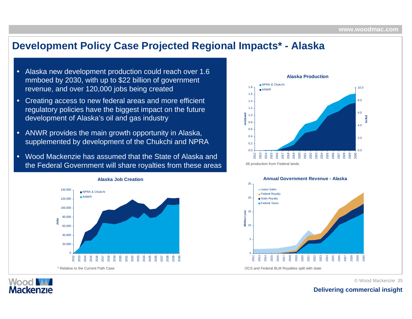### **Development Policy Case Projected Regional Impacts\* - Alaska**

- • Alaska new development production could reach over 1.6 mmboed by 2030, with up to \$22 billion of government revenue, and over 120,000 jobs being created
- • Creating access to new federal areas and more efficient regulatory policies have the biggest impact on the future development of Alaska's oil and gas industry
- • ANWR provides the main growth opportunity in Alaska, supplemented by development of the Chukchi and NPR A
- • Wood Mackenzie has assumed that the State of Alaska and the Federal Government will share royalties from these areas







©Wood Mackenzie 35

#### **Delivering commercial insight**

#### **Alaska Job Creation**

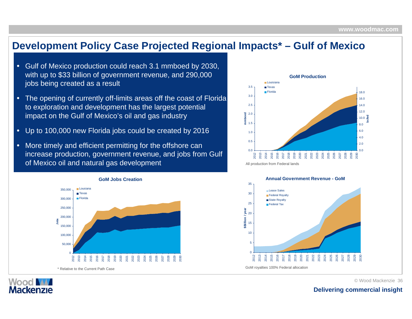### **Development Policy Case Projected Regional Impacts\* – Gulf of Mexico**

- • Gulf of Mexico production could reach 3.1 mmboed by 2030, with up to \$33 billion of government revenue, and 290,000 jobs being created as a result
- • The opening of currently off-limits areas off the coast of Florida to exploration and development has the largest potential impact on the Gulf of Mexico's oil and gas industry
- •Up to 100,000 new Florida jobs could be created by 2016
- • More timely and efficient permitting for the offshore can increase production, government revenue, and jobs from Gulf of Mexico oil and natural gas development



Wood M **Mackenzie** 





©Wood Mackenzie 36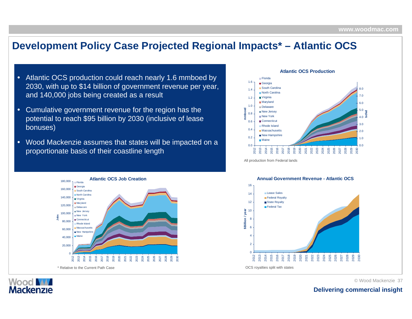### **Development Policy Case Projected Regional Impacts\* – Atlantic OCS**

- •Atlantic OCS production could reach nearly 1.6 mmboed by 2030, with up to \$14 billion of government revenue per year, and 140,000 jobs being created as a result
- • Cumulative government revenue for the region has the potential to reach \$95 billion by 2030 (inclusive of lease bonuses)
- •• Wood Mackenzie assumes that states will be impacted on a proportionate basis of their coastline length



Wood **W Mackenzie** 



**Atlantic OCSProduction**







©Wood Mackenzie 37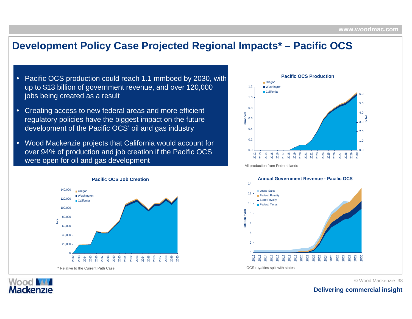### **Development Policy Case Projected Regional Impacts\* – Pacific OCS**

- • Pacific OCS production could reach 1.1 mmboed by 2030, with up to \$13 billion of government revenue, and over 120,000 jobs being created as a result
- •Creating access to new federal areas and more efficient regulatory policies have the biggest impact on the future development of the Pacific OCS' oil and gas industry
- • Wood Mackenzie projects that California would account for over 94% of production and job creation if t he Pacific O CS were open for oil and gas development



**Wood M Mackenzie** 



All production from Federal lands



©Wood Mackenzie 38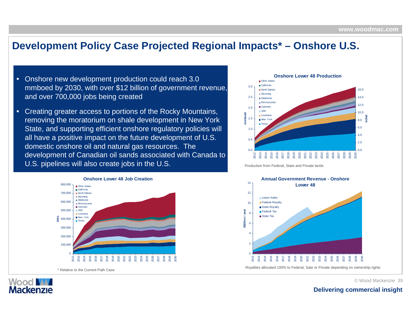### **Development Policy Case Projected Regional Impacts\* – Onshore U.S.**

- • Onshore new development production could reach 3.0 mmboed by 2030, with over \$12 billion of government revenue, and over 700,000 jobs being created
- • Creating greater access to portions of the Rocky Mountains, removing the moratorium on shale development in New York State, and supporting efficient onshore regulatory policies will all have a positive impact on the future development of U.S. domestic onshore oil and natural gas resources. The development of Canadian oil sands associated with Canada to U.S. pipelines will also create jobs in the U.S.



Wood **MA Mackenzie** 



Production from Federal, State and Private lands



©Wood Mackenzie 39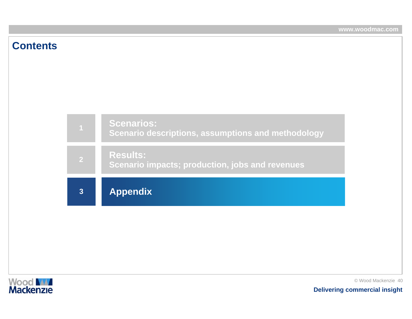### **Contents**





© Wood Mackenzie 40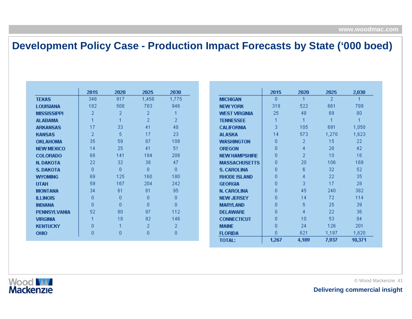# **Development Policy Case - Production Impact Forecasts by State ('000 boed)**

|                     | 2015 | 2020 | 2025  | 2030  |
|---------------------|------|------|-------|-------|
| <b>TEXAS</b>        | 348  | 917  | 1,458 | 1,775 |
| <b>LOUISIANA</b>    | 182  | 508  | 783   | 946   |
| <b>MISSISSIPPI</b>  | 2    | 2    | 2     | 1     |
| <b>ALABAMA</b>      | 1    | 1    | 2     | 2     |
| <b>ARKANSAS</b>     | 17   | 33   | 41    | 48    |
| <b>KANSAS</b>       | 2    | 5    | 17    | 23    |
| <b>OKLAHOMA</b>     | 35   | 59   | 87    | 108   |
| <b>NEW MEXICO</b>   | 14   | 25   | 41    | 51    |
| <b>COLORADO</b>     | 68   | 141  | 184   | 208   |
| <b>N. DAKOTA</b>    | 22   | 32   | 38    | 47    |
| <b>S. DAKOTA</b>    | n    | n    | n     | n     |
| <b>WYOMING</b>      | 69   | 125  | 160   | 180   |
| <b>UTAH</b>         | 59   | 167  | 204   | 242   |
| <b>MONTANA</b>      | 34   | 61   | 81    | 95    |
| <b>ILLINOIS</b>     | n    | n    | n     | 0     |
| <b>INDIANA</b>      | 0    | ۵    | n     | 0     |
| <b>PENNSYLVANIA</b> | 52   | 80   | 97    | 112   |
| <b>VIRGINIA</b>     | 1    | 18   | 92    | 146   |
| <b>KENTUCKY</b>     | Ω    | 1    | 2     | 2     |
| <b>OHIO</b>         | 0    | 0    | Ω     | 0     |

|                      | 2015  | 2020  | 2025           | 2,030  |
|----------------------|-------|-------|----------------|--------|
|                      |       |       |                |        |
| <b>MICHIGAN</b>      | 0     | 1     | $\overline{2}$ | 1      |
| <b>NEW YORK</b>      | 319   | 522   | 661            | 789    |
| <b>WEST VIRGINIA</b> | 25    | 48    | 69             | 80     |
| <b>TENNESSEE</b>     | 1     | 1     | 1              | 1      |
| <b>CALIFORNIA</b>    | 3     | 105   | 691            | 1,050  |
| ALASKA               | 14    | 573   | 1,270          | 1,623  |
| <b>WASHINGTON</b>    | 0     | 2     | 15             | 22     |
| <b>OREGON</b>        | Ω     | 4     | 28             | 42     |
| <b>NEW HAMPSHIRE</b> | Ω     | 2     | 10             | 16     |
| <b>MASSACHUSETTS</b> | O     | 20    | 106            | 169    |
| <b>S. CAROLINA</b>   | ۵     | 6     | 32             | 52     |
| <b>RHODE ISLAND</b>  | ۵     | 4     | 22             | 35     |
| <b>GEORGIA</b>       | ۵     | 3     | 17             | 28     |
| <b>N. CAROLINA</b>   | ۵     | 45    | 240            | 382    |
| <b>NEW JERSEY</b>    | ۵     | 14    | 72             | 114    |
| <b>MARYLAND</b>      | ۵     | 5     | 25             | 39     |
| <b>DELAWARE</b>      | ۵     | 4     | 22             | 36     |
| <b>CONNECTICUT</b>   | n     | 10    | 53             | 84     |
| <b>MAINE</b>         | 0     | 24    | 126            | 201    |
| <b>FLORIDA</b>       | 0     | 621   | 1,187          | 1,620  |
| <b>TOTAL:</b>        | 1,267 | 4,189 | 7,937          | 10,371 |

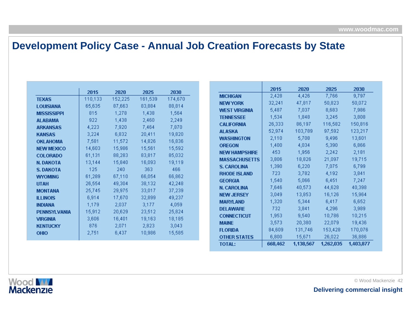## **Development Policy Case - Annual Job Creation Forecasts by State**

|                     | 2015            | 2020    | 2025        | 2030    |
|---------------------|-----------------|---------|-------------|---------|
| <b>TEXAS</b>        | 110,133         | 152,225 | 161,539     | 174,670 |
| <b>LOUISIANA</b>    | 65,635          | 87,663  | 83,884      | 88,814  |
| <b>MISSISSIPPI</b>  | 815             | 1,278   | 1,438       | 1,564   |
| <b>ALABAMA</b>      | $922 -$         | 1,438   | 2,460       | 2,249   |
| <b>ARKANSAS</b>     | 4,223           |         | 7,920 7,464 | 7,870   |
| <b>KANSAS</b>       | 3,224           | 6,832   | 20,411      | 19,820  |
| <b>OKLAHOMA</b>     | 7,581           | 11,572  | 14,826      | 16,836  |
| <b>NEW MEXICO</b>   | 14,603          | 15,986  | 15,561      | 15,592  |
| <b>COLORADO</b>     | 61,131          | 88,283  | 83,817      | 85,032  |
| <b>N. DAKOTA</b>    | 13,144          | 15,840  | 16,093      | 19,119  |
| <b>S. DAKOTA</b>    | $125 -$         | 240     | 363         | 466     |
| <b>WYOMING</b>      | 61,289          | 67,110  | 66,054      | 66,862  |
| <b>UTAH</b>         | 26,554          | 49,304  | 38,132      | 42,248  |
| <b>MONTANA</b>      | 25,745          | 29,975  | 33,017      | 37,239  |
| <b>ILLINOIS</b>     | 6,914           | 17,670  | 32,899      | 49,237  |
| <b>INDIANA</b>      | $1,179$ and $-$ |         | 2,037 3,177 | 4,059   |
| <b>PENNSYLVANIA</b> | 15,912          | 20,629  | 23,512      | 25,824  |
| <b>VIRGINIA</b>     | 3,606           | 16,401  | 19,163      | 18,185  |
| <b>KENTUCKY</b>     | 876             | 2,071   | 2,823       | 3,043   |
| <b>OHIO</b>         | 2,751           | 6,437   | 10,986      | 15,585  |

|                      | 2015    | 2020      | 2025      | 2030      |
|----------------------|---------|-----------|-----------|-----------|
| <b>MICHIGAN</b>      | 2,428   | 4,426     | 7,766     | 9,797     |
| <b>NEW YORK</b>      | 32,241  | 47,817    | 50,823    | 50,072    |
| <b>WEST VIRGINIA</b> | 5,487   | 7,037     | 8,683     | 7,986     |
| <b>TENNESSEE</b>     | 1,534   | 1,848     | 3,245     | 3,808     |
| <b>CALIFORNIA</b>    | 26,333  | 86,197    | 116,582   | 150,816   |
| <b>ALASKA</b>        | 52,974  | 103,789   | 97,592    | 123,217   |
| <b>WASHINGTON</b>    | 2,110   | 5,708     | 9,496     | 13,601    |
| <b>OREGON</b>        | 1,400   | 4,034     | 5,390     | 6,866     |
| <b>NEW HAMPSHIRE</b> | 453     | 1,956     | 2,242     | 2,181     |
| <b>MASSACHUSETTS</b> | 3,806   | 18,826    | 21,097    | 19,715    |
| <b>S. CAROLINA</b>   | 1,390   | 6,220     | 7,075     | 6,799     |
| <b>RHODE ISLAND</b>  | 723     | 3,782     | 4,192     | 3,841     |
| <b>GEORGIA</b>       | 1,540   | 5,066     | 6,451     | 7,247     |
| <b>N. CAROLINA</b>   | 7,646   | 40,573    | 44,628    | 40,398    |
| <b>NEW JERSEY</b>    | 3,049   | 13,853    | 16,126    | 15,964    |
| <b>MARYLAND</b>      | 1,320   | 5,344     | 6,417     | 6,652     |
| <b>DELAWARE</b>      | 732     | 3,841     | 4,296     | 3,989     |
| <b>CONNECTICUT</b>   | 1,953   | 9,540     | 10,786    | 10,215    |
| <b>MAINE</b>         | 3,573   | 20,380    | 22,079    | 19,436    |
| <b>FLORIDA</b>       | 84,609  | 131,746   | 153,428   | 170,076   |
| <b>OTHER STATES</b>  | 6,800   | 15,671    | 26,022    | 36,886    |
| <b>TOTAL:</b>        | 668,462 | 1,138,567 | 1,262,035 | 1,403,877 |

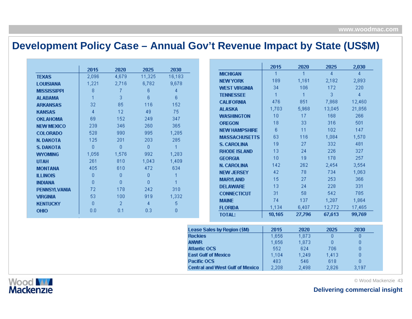### **Development Policy Case – Annual Gov't Revenue Impact by State (US\$M)**

| 2015<br>2020<br>2025<br>2030<br>4,679<br>11,325<br>2,096<br>16,183<br><b>TEXAS</b><br>1,221<br>2,716<br>6,782<br>9,678<br><b>LOUISIANA</b><br>8<br>7<br>6<br>4<br><b>MISSISSIPPI</b><br>3<br>6<br>6<br><b>ALABAMA</b> | <b>MICHIGAN</b><br><b>NEW YORK</b><br><b>WEST VIRGINIA</b><br><b>TENNESSEE</b> | 1<br>189<br>34  | -1<br>1,161<br>106 | 4<br>2,182   | 4            |
|-----------------------------------------------------------------------------------------------------------------------------------------------------------------------------------------------------------------------|--------------------------------------------------------------------------------|-----------------|--------------------|--------------|--------------|
|                                                                                                                                                                                                                       |                                                                                |                 |                    |              |              |
|                                                                                                                                                                                                                       |                                                                                |                 |                    |              | 2,893        |
|                                                                                                                                                                                                                       |                                                                                |                 |                    | 172          | 220          |
|                                                                                                                                                                                                                       |                                                                                | 1               | 1                  | 3            | 4            |
|                                                                                                                                                                                                                       | <b>CALIFORNIA</b>                                                              | 476             | 851                | 7,868        | 12,460       |
| 85<br>152<br>32<br>116<br><b>ARKANSAS</b>                                                                                                                                                                             | <b>ALASKA</b>                                                                  | 1,703           | 5,968              | 13,045       | 21,856       |
| 12<br>75<br>4<br>49<br><b>KANSAS</b>                                                                                                                                                                                  | <b>WASHINGTON</b>                                                              | 10 <sup>1</sup> | 17                 | 168          | 266          |
| 152<br>347<br>69<br>249<br><b>OKLAHOMA</b>                                                                                                                                                                            | <b>OREGON</b>                                                                  | 18              | 33                 | 316          | 501          |
| 346<br>365<br>239<br>260<br><b>NEW MEXICO</b>                                                                                                                                                                         | <b>NEW HAMPSHIRE</b>                                                           | 6               | 11                 | 102          | 147          |
| 528<br>995<br>1,285<br>990<br><b>COLORADO</b>                                                                                                                                                                         | <b>MASSACHUSETTS</b>                                                           | 63              | 116                | 1,084        | 1,570        |
| 285<br>125<br>201<br>203<br>N. DAKOTA                                                                                                                                                                                 | <b>S. CAROLINA</b>                                                             | 19              | 27                 | 332          | 481          |
| $\overline{0}$<br>$\overline{0}$<br>0<br>1<br><b>S. DAKOTA</b>                                                                                                                                                        | <b>RHODE ISLAND</b>                                                            | 13              | 24                 | 226          | 327          |
| 992<br>1,576<br>1,283<br>1,056<br><b>WYOMING</b>                                                                                                                                                                      | <b>GEORGIA</b>                                                                 | 10              | 19                 | 178          | 257          |
| 810<br>1,043<br>1,409<br>261<br><b>UTAH</b>                                                                                                                                                                           | <b>N. CAROLINA</b>                                                             | 142             | 262                | 2,454        | 3,554        |
| 405<br>610<br>472<br>634<br><b>MONTANA</b>                                                                                                                                                                            | <b>NEW JERSEY</b>                                                              | 42              | 78                 | 734          | 1,063        |
| 0<br>0<br>0<br><b>ILLINOIS</b>                                                                                                                                                                                        | <b>MARYLAND</b>                                                                | 15              | 27                 | 253          | 366          |
| $\overline{0}$<br>0<br>0<br><b>INDIANA</b>                                                                                                                                                                            | <b>DELAWARE</b>                                                                | 13              | 24                 | 228          | 331          |
| 242<br>72<br>178<br>310<br><b>PENNSYLVANIA</b>                                                                                                                                                                        | <b>CONNECTICUT</b>                                                             | 31              | 58                 | 542          | 785          |
| 100<br>919<br>53<br>1,332<br><b>VIRGINIA</b>                                                                                                                                                                          |                                                                                | 74              | 137                | 1,287        | 1,864        |
| $\overline{2}$<br>5<br>$\mathbf{0}$<br>4<br><b>KENTUCKY</b>                                                                                                                                                           | <b>MAINE</b>                                                                   |                 |                    |              |              |
| 0.1<br>0.3<br>0<br>0.0<br><b>OHIO</b>                                                                                                                                                                                 | <b>FLORIDA</b>                                                                 | 1,134           | 6,407              | 12,772       | 17,465       |
|                                                                                                                                                                                                                       | <b>TOTAL:</b>                                                                  | 10,165          | 27,796             | 67,613       | 99,769       |
|                                                                                                                                                                                                                       | Lease Sales by Region (\$M)                                                    | 2015            | 2020               | 2025         | 2030         |
|                                                                                                                                                                                                                       | <b>Rockies</b>                                                                 | 1,656           | 1,873              | 0            | $\mathbf{0}$ |
| <b>ANWR</b>                                                                                                                                                                                                           |                                                                                | 1,656           | 1,873              | 0            | 0            |
|                                                                                                                                                                                                                       | <b>Atlantic OCS</b>                                                            | 552             | 624                | 706          | 0            |
|                                                                                                                                                                                                                       | <b>East Gulf of Mexico</b>                                                     | 1,104           | 1,249              | 1,413        | 0            |
|                                                                                                                                                                                                                       | Pacific OCS<br><b>Central and West Gulf of Mexico</b>                          | 483<br>2,208    | 546<br>2,498       | 618<br>2,826 | 0<br>3,197   |

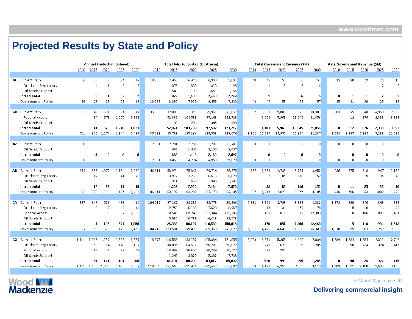# **Projected Results by State and Policy**

|                        |              |                   |              | <b>Annual Production (mboed)</b> |                 |         |         | <b>Total Jobs Supported (Upstream)</b> |         |         |       |              |                | <b>Total Government Revenue (\$M)</b> |              | State Government Revenue (\$M) |              |              |                |                |
|------------------------|--------------|-------------------|--------------|----------------------------------|-----------------|---------|---------|----------------------------------------|---------|---------|-------|--------------|----------------|---------------------------------------|--------------|--------------------------------|--------------|--------------|----------------|----------------|
|                        | 2010         | 2015              | 2020         | 2025                             | 2030            | 2010    | 2015    | 2020                                   | 2025    | 2030    | 2010  | 2015         | 2020           | 2025                                  | 2030         | 2010                           | 2015         | 2020         | 2025           | 2030           |
|                        |              |                   |              |                                  |                 |         |         |                                        |         |         |       |              |                |                                       |              |                                |              |              |                |                |
| AL Current Path        | 36           | 26                | 22           | 24                               | 17              | 10,283  | 7,469   | 6,478                                  | 6,998   | 5,031   | 40    | 46           | 55             | 66                                    | 51           | 25                             | 20           | 19           | 23             | 18             |
| On-shore Regulatory    |              | $\mathbf{1}$      | $\mathbf{1}$ | $\mathcal{P}$                    | $\overline{2}$  |         | 373     | 300                                    | 810     | 93      |       | $\mathbf{1}$ | $\overline{3}$ | 6                                     | 6            |                                | $\mathbf{1}$ | $\mathbf{1}$ | $\overline{2}$ | $\overline{2}$ |
| Oil Sands Support      |              |                   |              |                                  |                 |         | 548     | 1,138                                  | 1,651   | 2,155   |       |              |                |                                       |              |                                |              |              |                |                |
| Incremental            |              | 1                 | -1           | 2                                | $\overline{2}$  |         | 922     | 1,438                                  | 2,460   | 2,249   |       | 1            | з              | 6                                     | 6            | $\mathbf{u}$                   | -1           | 1            | $\overline{2}$ | 2              |
| Development Policy     | 36           | 26                | 23           | 26                               | 19              | 10,283  | 8,390   | 7,915                                  | 9,459   | 7,280   | 40    | 47           | 58             | 72                                    | 57           | 25                             | 21           | 20           | 25             | 19             |
|                        |              |                   |              |                                  |                 |         |         |                                        |         |         |       |              |                |                                       |              |                                |              |              |                |                |
| AK Current Path        | 711          | 641               | 601          | 574                              | 844             | 35,568  | 32,809  | 31,375                                 | 29,961  | 43,857  | 8,602 | 8,593        | 9,002          | 7,579                                 | 10,381       | 6,083                          | 6,375        | 6,748        | 4,950          | 7,703          |
| <b>Federal Access</b>  |              | 14                | 573          | 1,270                            | 1,623           |         | 52,885  | 103,583                                | 97,248  | 122,728 |       | 1,703        | 5,968          | 13,045                                | 21,856       |                                | 12           | 876          | 2,338          | 3,393          |
| Oil Sands Support      |              |                   |              |                                  |                 |         | 89      | 206                                    | 345     | 490     |       |              |                |                                       |              |                                |              |              |                |                |
| Incremental            |              | 14                | 573          | 1,270                            | 1,623           |         | 52,974  | 103,789                                | 97,592  | 123,217 |       | 1,703        | 5,968          | 13,045                                | 21,856       | $\mathbf{u}$                   | 12           | 876          | 2,338          | 3,393          |
| Development Policy     | 711          | 655               | 1,174        | 1,844                            | 2,467           | 35,568  | 85,783  | 135,164                                | 127,553 | 167,074 |       | 8,602 10,297 | 14,970         | 20,624                                | 32,237       | 6,083                          | 6,387        | 7,624        | 7,288          | 11,097         |
|                        |              |                   |              |                                  |                 |         |         |                                        |         |         |       |              |                |                                       |              |                                |              |              |                |                |
| AZ Current Path        | 0            | $\Omega$          | $\Omega$     | $\Omega$                         | $\vert 0 \vert$ | 12,781  | 12,781  | 12,781                                 | 12,781  | 12,781  | 0.    | $\Omega$     | $\overline{0}$ | 0                                     | $\Omega$     | $\Omega$                       | $\Omega$     | $\mathbf{0}$ | $\Omega$       | $\Omega$       |
| Oil Sands Support      |              |                   |              |                                  |                 |         | 682     | 1,443                                  | 2,169   | 2,897   |       |              |                |                                       |              |                                |              |              |                |                |
| Incremental            |              | n                 | 0            | $\mathbf{u}$                     | $\mathbf{0}$    |         | 682     | 1,443                                  | 2,169   | 2,897   |       | $\mathbf{u}$ | $\mathbf 0$    | 0                                     | $\mathbf{u}$ |                                | n            | 0            | $\mathbf{u}$   | $\mathbf{0}$   |
| Development Policy     | $\mathbf{0}$ | $\Omega$          | $\Box$       | $\mathbf{0}$                     | $\Omega$        | 12,781  | 13,463  | 14,224                                 | 14,950  | 15,678  | 0     | $\mathbf{0}$ | $\Omega$       | $\mathbf 0$                           | $\Omega$     | $\Omega$                       | $\Omega$     | $\Omega$     | $\Omega$       | $\Omega$       |
|                        |              |                   |              |                                  |                 |         |         |                                        |         |         |       |              |                |                                       |              |                                |              |              |                |                |
| <b>AR</b> Current Path | 692          | 856               | 1.072        | 1.134                            | 1,234           | 46,611  | 58,974  | 75,361                                 | 79,714  | 86,275  | 967   | 1,683        | 2,738          | 3,239                                 | 3,952        | 436                            | 575          | 818          | 967            | 1,180          |
| On-shore Regulatory    |              | 17                | 33           | 41                               | 48              |         | 3,912   | 7,269                                  | 6,516   | 6,629   |       | 32           | 85             | 116                                   | 152          |                                | 11           | 25           | 35             | 46             |
| Oil Sands Support      |              |                   |              |                                  |                 |         | 311     | 652                                    | 948     | 1,241   |       |              |                |                                       |              |                                |              |              |                |                |
| Incremental            |              | 17                | 33           | 41                               | 48              |         | 4,223   | 7,920                                  | 7,464   | 7,870   |       | 32           | 85             | 116                                   | 152          | 0                              | 11           | 25           | 35             | 46             |
| Development Policy     | 692          | 873               | 1,106        | 1,175                            | 1,281           | 46,611  | 63,197  | 83,281                                 | 87,178  | 94,145  | 967   | 1,715        | 2,823          | 3,355                                 | 4,105        | 436                            | 586          | 843          | 1,002          | 1,226          |
|                        |              |                   |              |                                  |                 |         |         |                                        |         |         |       |              |                |                                       |              |                                |              |              |                |                |
| <b>CA</b> Current Path | 887          | 647               | 516          | 438                              | 410             | 104.217 | 97,167  | 93,231                                 | 92,778  | 90,206  | 5.631 | 3.950        | 3,798          | 3,832                                 | 3,882        | 1,278                          | 890          | 846          | 848            | 863            |
| On-shore Regulatory    |              | 3                 | 7            | -9                               | 11              |         | 2,758   | 6,180                                  | 7,620   | 8,957   |       | 15           | 36             | 57                                    | 78           |                                | 5            | 10           | 16             | 22             |
| <b>Federal Access</b>  |              | $\Omega$          | 98           | 682                              | 1,039           |         | 18,545  | 69,249                                 | 92,344  | 119,286 |       | 460          | 815            | 7,811                                 | 12,383       |                                | $\Omega$     | 106          | 887            | 1,491          |
| Oil Sands Support      |              |                   |              |                                  |                 |         | 5,030   | 10,769                                 | 16,618  | 22,573  |       |              |                |                                       |              |                                |              |              |                |                |
| Incremental            |              | з                 | 105          | 691                              | 1,050           |         | 26,333  | 86,197                                 | 116,582 | 150,816 |       | 476          | 851            | 7.868                                 | 12,460       |                                | 5            | 116          | 904            | 1,513          |
| Development Policy     | 887          | 650               | 620          | 1.129                            | 1.459           | 104.217 | 123,501 | 179,429                                | 209,360 | 241,022 | 5,631 | 4.426        | 4,648          | 11,700                                | 16,343       | 1,278                          | 895          | 963          | 1.752          | 2,376          |
|                        |              |                   |              |                                  |                 |         |         |                                        |         |         |       |              |                |                                       |              |                                |              |              |                |                |
| CO Current Path        | 1,111        | 1,065             | 1,192        | 1,306                            | 1,359           | 118,879 | 116,539 | 133,132                                | 145,834 | 151,055 | 3,020 | 3,891        | 5,369          | 6,600                                 | 7,834        | 1,289                          | 1,534        | 1,884        | 2,311          | 2,743          |
| On-shore Regulatory    |              | 53                | 114          | 148                              | 167             |         | 40,895  | 64,611                                 | 58,281  | 56,872  |       | 245          | 670            | 995                                   | 1,285        |                                | 98           | 224          | 324            | 415            |
| <b>Federal Access</b>  |              | 14                | 28           | 36                               | 42              |         | 18,993  | 20,652                                 | 20,234  | 20,422  |       | 283          | 320            |                                       |              |                                |              |              |                |                |
| Oil Sands Support      |              |                   |              |                                  |                 |         | 1,242   | 3,020                                  | 5,302   | 7,738   |       |              |                |                                       |              |                                |              |              |                |                |
| Incremental            |              | 68                | 141          | 184                              | 208             |         | 61,131  | 88,283                                 | 83,817  | 85,032  |       | 528          | 990            | 995                                   | 1,285        | n                              | 98           | 224          | 324            | 415            |
| Development Policy     |              | 1,111 1,133 1,333 |              | 1,490                            | 1,567           | 118,879 | 177,669 | 221,416                                | 229,652 | 236,087 | 3,020 | 4,420        | 6,359          | 7,595                                 | 9,119        | 1,289                          | 1,631        | 2,108        | 2,635          | 3,158          |
|                        |              |                   |              |                                  |                 |         |         |                                        |         |         |       |              |                |                                       |              |                                |              |              |                |                |

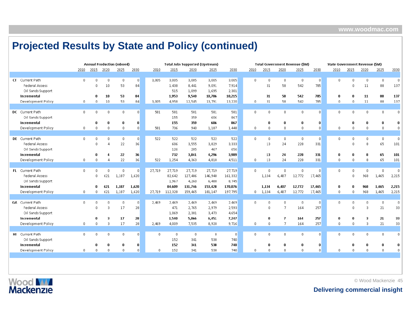|                        |              |                |              | <b>Annual Production (mboed)</b> |                 |          |         | <b>Total Jobs Supported (Upstream)</b> |                |                |          |              |                | <b>Total Government Revenue (\$M)</b> |                                    | <b>State Government Revenue (SM)</b> |              |              |              |             |
|------------------------|--------------|----------------|--------------|----------------------------------|-----------------|----------|---------|----------------------------------------|----------------|----------------|----------|--------------|----------------|---------------------------------------|------------------------------------|--------------------------------------|--------------|--------------|--------------|-------------|
|                        | 2010         | 2015           | 2020         | 2025                             | 2030            | 2010     | 2015    | 2020                                   | 2025           | 2030           | 2010     | 2015         | 2020           | 2025                                  | 2030                               | 2010                                 | 2015         | 2020         | 2025         | 2030        |
|                        |              |                |              |                                  |                 |          |         |                                        |                |                |          |              |                |                                       |                                    |                                      |              |              |              |             |
| CT Current Path        | $\mathbf{0}$ | $\Omega$       | $\Omega$     | $\Omega$                         | $\overline{0}$  | 3,005    | 3,005   | 3,005                                  | 3,005          | 3,005          | $\Omega$ | $\Box$       | $\mathbf{0}$   | $\mathbf 0$                           | $\mathbf{0}$                       | $\Omega$                             | -n           | $\mathbf 0$  | 0            | $\mathbf 0$ |
| <b>Federal Access</b>  |              | $\sqrt{2}$     | 10           | 53                               | 84              |          | 1,438   | 8,441                                  | 9,091          | 7,914          |          | 31           | 58             | 542                                   | 785                                |                                      | $\Omega$     | 11           | 88           | 137         |
| Oil Sands Support      |              |                |              |                                  |                 |          | 515     | 1,099                                  | 1,695          | 2,301          |          |              |                |                                       |                                    |                                      |              |              |              |             |
| Incremental            |              | $\mathbf{0}$   | 10           | 53                               | 84              |          | 1,953   | 9,540                                  | 10,786         | 10,215         |          | 31           | 58             | 542                                   | 785                                | $\mathbf{0}$                         | $\mathbf{u}$ | 11           | 88           | 137         |
| Development Policy     | $\mathbf{0}$ | $\overline{0}$ | 10           | 53                               | 84              | 3,005    | 4,958   | 12,545                                 | 13,791         | 13,220         | 0.       | 31           | 58             | 542                                   | 785                                | $\mathbf{0}$                         | $\Omega$     | 11           | 88           | 137         |
|                        |              |                |              |                                  |                 |          |         |                                        |                |                |          |              |                |                                       |                                    |                                      |              |              |              |             |
| DC Current Path        | $\mathbf{0}$ | $\Omega$       | $\mathbf{0}$ | $\mathbf{0}$                     | $\Omega$        | 581      | 581     | 581                                    | 581            | 581            | Ω.       | $\Omega$     | $\mathbf 0$    | $\overline{0}$                        | $\Omega$                           | 0.                                   | $\Omega$     | $\mathbf 0$  | $\mathbf 0$  | $\mathbf 0$ |
| Oil Sands Support      |              |                |              |                                  |                 |          | 155     | 359                                    | 606            | 867            |          |              |                |                                       |                                    |                                      |              |              |              |             |
| Incremental            |              | $\mathbf{0}$   | $\bf{0}$     | 0                                | $\mathbf{0}$    |          | 155     | 359                                    | 606            | 867            |          | $\mathbf{a}$ | 0              | $\mathbf 0$                           | $\bf{0}$                           |                                      | $\mathbf{0}$ | 0            | $\mathbf{u}$ | 0           |
| Development Policy     | $\mathbf{0}$ | $\Omega$       | $\mathbf{0}$ | $\mathbf{0}$                     | $\Box$          | 581      | 736     | 940                                    | 1,187          | 1,448          | 0.       | $\Omega$     | $\Omega$       | $\mathbf 0$                           | $\mathbf{0}$                       | $\Omega$                             | $\Omega$     | $\mathbf{0}$ | $\mathbf{0}$ | $\Omega$    |
|                        |              |                |              |                                  |                 |          |         |                                        |                |                |          |              |                |                                       |                                    |                                      |              |              |              |             |
| DE Current Path        | $\mathbf{0}$ | $\Omega$       | n.           | $\Omega$                         | $\vert 0 \vert$ | 522      | 522     | 522                                    | 522            | 522            | n.       | $\Omega$     | $\Omega$       | $\overline{0}$                        | $\overline{0}$                     | $\Omega$                             | $\Omega$     | $\Omega$     | $\mathbf 0$  | $\mathbf 0$ |
| <b>Federal Access</b>  |              | $\Omega$       | Д            | 22                               | 36              |          | 606     | 3,555                                  | 3,829          | 3,333          |          | 13           | 24             | 228                                   | 331                                |                                      | $\Omega$     | 8            | 65           | 101         |
| Oil Sands Support      |              |                |              |                                  |                 |          | 126     | 285                                    | 467            | 656            |          |              |                |                                       |                                    |                                      |              |              |              |             |
| Incremental            |              | $\bf{0}$       | 4            | 22                               | 36              |          | 732     | 3,841                                  | 4,296          | 3,989          |          | 13           | 24             | 228                                   | 331                                | O                                    | $\mathbf{0}$ | 8            | 65           | 101         |
| Development Policy     | $\mathbf 0$  | $\overline{0}$ | $\Delta$     | 22                               | 36              | 522      | 1,254   | 4,363                                  | 4,818          | 4,511          | n        | 13           | 24             | 228                                   | 331                                | $\Omega$                             | $\Omega$     | 8            | 65           | 101         |
|                        |              |                |              |                                  |                 |          |         |                                        |                |                |          |              |                |                                       |                                    |                                      |              |              |              |             |
| FL Current Path        | $\mathbf{0}$ | $\Omega$       | 0            |                                  | $\vert 0 \vert$ | 27,719   | 27,719  | 27,719                                 | 27,719         | 27,719         | 0.       | $\Omega$     | $\mathbf{0}$   | $\mathbf{0}$                          | $\mathbf 0$                        | 0                                    | $\Omega$     | $\mathbf{0}$ | $\mathbf{0}$ | $\mathbf 0$ |
| <b>Federal Access</b>  |              | $\Omega$       | 621          | 1,187                            | 1,620           |          | 82,642  | 127,486                                | 146,940        | 161,332        |          | 1,134        | 6,407          | 12,772                                | 17,465                             |                                      | $\Omega$     | 968          | 1,465        | 2,215       |
| Oil Sands Support      |              |                |              |                                  |                 |          | 1,967   | 4,260                                  | 6,488          | 8,745          |          |              |                |                                       |                                    |                                      |              |              |              |             |
| Incremental            |              | n              | 621          | 1,187                            | 1,620           |          | 84,609  | 131,746                                | 153,428        | 170,076        |          | 1,134        | 6,407          | 12,772                                | 17,465                             | $\bf{0}$                             | $\mathbf{u}$ | 968          | 1,465        | 2,215       |
| Development Policy     | $\theta$     | $\overline{0}$ | 621          | 1,187                            | 1,620           | 27,719   | 112,328 | 159,465                                | 181,147        | 197,795        | 0        | 1,134        | 6,407          | 12,772                                | 17,465                             | $\mathbf{0}$                         | $\Omega$     | 968          | 1,465        | 2,215       |
|                        |              |                |              |                                  |                 |          |         |                                        |                |                |          |              |                |                                       |                                    |                                      |              |              |              |             |
| <b>GA</b> Current Path | $\mathbf{0}$ | $\Omega$       | 0            |                                  | $\vert 0 \vert$ | 2.469    | 2,469   | 2,469                                  | 2,469          | 2,469          | n.       | $\Omega$     | $\Omega$       | $\overline{0}$                        | $\vert 0 \vert$                    | $\mathbf{0}$                         | -n           | 0            | $\mathbf{0}$ | $\mathbf 0$ |
| Federal Access         |              | $\Omega$       | 3            | 17                               | 28              |          | 471     | 2,765                                  | 2,979          | 2,593          |          | $\Box$       | $\overline{7}$ | 164                                   | 257                                |                                      | $\Omega$     | 3            | 21           | 33          |
| Oil Sands Support      |              |                |              |                                  |                 |          | 1,069   | 2,301                                  | 3,473          | 4,654          |          |              |                |                                       |                                    |                                      |              |              |              |             |
| Incremental            |              | $\mathbf{u}$   | з            | 17                               | 28              |          | 1,540   | 5,066                                  | 6,451          | 7,247          |          | $\mathbf{u}$ | $\overline{I}$ | 164                                   | 257                                | $\mathbf{u}$                         | $\mathbf{u}$ | 3            | 21           | 33          |
| Development Policy     | $\theta$     | $\Omega$       | 3            | 17                               | 28              | 2.469    | 4,009   | 7,535                                  | 8,920          | 9,716          | 0        | $\Omega$     | $\overline{7}$ | 164                                   | 257                                | $\Omega$                             | $\Omega$     | 3            | 21           | 33          |
|                        |              |                |              |                                  |                 |          |         |                                        |                |                |          |              |                |                                       |                                    |                                      |              |              |              |             |
| HI Current Path        | $\mathbf{0}$ | $\Omega$       | $\mathbf 0$  | $\mathbf{0}$                     | $\Box$          | $\Omega$ | 0       | $\Omega$                               | $\overline{0}$ | $\overline{0}$ | n.       | $\mathbf 0$  | 0              | $\mathbf{0}$                          | $\Omega$                           | 0.                                   | $\Omega$     | $\mathbf 0$  | $\mathbf{0}$ | $\Box$      |
| Oil Sands Support      |              |                |              |                                  |                 |          | 152     | 341                                    | 538            | 740            |          |              |                |                                       |                                    |                                      |              |              |              |             |
| Incremental            |              | n              | 0            | 0                                | $\mathbf{0}$    |          | 152     | 341                                    | 538            | 740            |          | $\mathbf{u}$ | $\bf{0}$       | $\bf{0}$                              | $\mathbf{u}$                       |                                      | n            | 0            | n            | 0           |
| Development Policy     | $\mathbf{0}$ | $\theta$       | $\mathbf{0}$ |                                  | $\mathbf{0}$    | $\Omega$ | 152     | 341                                    | 538            | 740            |          | $\Omega$     | $\Omega$       | $\theta$                              | $\begin{array}{c} \n0 \end{array}$ |                                      |              | $\Omega$     | $\Omega$     | $\Omega$    |

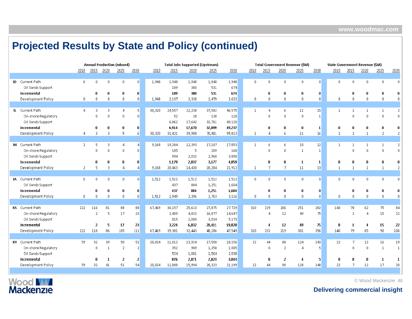|                                          |                |                |                    | <b>Annual Production (mboed)</b> |                      |        |            | <b>Total Jobs Supported (Upstream)</b> |                |                |              |                |                      | <b>Total Government Revenue (\$M)</b> |                                        | State Government Revenue (\$M) |                                  |                    |                    |                      |
|------------------------------------------|----------------|----------------|--------------------|----------------------------------|----------------------|--------|------------|----------------------------------------|----------------|----------------|--------------|----------------|----------------------|---------------------------------------|----------------------------------------|--------------------------------|----------------------------------|--------------------|--------------------|----------------------|
|                                          | 2010           | 2015           | 2020               | 2025                             | 2030                 | 2010   | 2015       | 2020                                   | 2025           | 2030           | 2010         | 2015           | 2020                 | 2025                                  | 2030                                   | 2010                           | 2015                             | 2020               | 2025               | 2030                 |
|                                          |                |                |                    |                                  |                      |        |            |                                        |                |                |              |                |                      |                                       |                                        |                                |                                  |                    |                    |                      |
| <b>ID</b> Current Path                   | $\mathbf{0}$   | $\Omega$       | $\Omega$           | $\Omega$                         | $\Omega$             | 1,948  | 1.948      | 1,948                                  | 1,948          | 1,948          | 0            | $\mathbf 0$    | $\mathbf{0}$         | 0                                     | $\Omega$                               | n.                             | $\Omega$                         | $\mathbf{0}$       | $\Omega$           | n.                   |
| Oil Sands Support                        |                |                |                    |                                  |                      |        | 189        | 380                                    | 531            | 674            |              |                |                      |                                       |                                        |                                |                                  |                    |                    |                      |
| Incremental                              |                |                | 0                  | 0                                | 0                    |        | 189        | 380                                    | 531            | 674            |              | n              | $\mathbf{0}$         | $\bf{0}$                              | $\mathbf{0}$                           |                                |                                  | n                  |                    |                      |
| Development Policy                       | $\mathbf{0}$   | n.             | $\mathbf 0$        | $\mathbf 0$                      | $\mathbf{0}$         | 1,948  | 2,137      | 2,328                                  | 2,479          | 2,622          | 0            | $\mathbf 0$    | $\mathbf{0}$         | 0                                     | 0                                      | n.                             | $\Omega$                         | $\Omega$           | n                  |                      |
| IL Current Path                          | Δ              | З              | 3                  |                                  | 5                    | 30,320 | 24,507     | 22,238                                 | 37,582         | 46,575         |              |                | 6                    | 11                                    | 15                                     |                                |                                  | 1                  | $\mathbf{1}$       | 2                    |
| On-shore Regulatory                      |                | n.             | $\Omega$           | $\mathbf 0$                      | $\Omega$             |        | 52         | 28                                     | 138            | 118            |              | $\Omega$       | $\mathbf{0}$         | 0                                     | $\mathbf{1}$                           |                                | $\Omega$                         | $\Omega$           | $\Omega$           | n                    |
| Oil Sands Support                        |                |                |                    |                                  |                      |        | 6,862      | 17,642                                 | 32,761         | 49,120         |              |                |                      |                                       |                                        |                                |                                  |                    |                    |                      |
| Incremental                              |                | 0              | 0                  | 0                                | 0                    |        | 6,914      | 17,670                                 | 32,899         | 49,237         |              | $\mathbf 0$    | 0                    | 0                                     | $\mathbf{1}$                           | 0                              |                                  | 0                  |                    | 0                    |
| Development Policy                       | 4              | 3              | 3                  | 5                                | 6                    | 30,320 | 31,421     | 39,908                                 | 70,481         | 95,813         |              | Д              | 6                    | 11                                    | 16                                     | $\mathbf{1}$                   |                                  | $\mathbf{1}$       | $\mathcal{D}$      | 2                    |
|                                          |                |                |                    |                                  |                      |        |            |                                        |                |                |              |                |                      |                                       |                                        |                                |                                  |                    |                    |                      |
| IN Current Path                          | $\overline{2}$ | 5              | 3                  |                                  | Д                    | 9,168  | 19,284     | 12,393                                 | 17,107         | 17,853         | $\mathbf{1}$ | -6             | -6                   | 10 <sup>°</sup>                       | 12                                     | 1                              | $\mathbf{1}$                     | $\mathbf{1}$       | $\mathbf{1}$       | 2                    |
| On-shore Regulatory                      |                | n.             | $\Omega$           | $\mathbf 0$                      | $\mathbf{0}$         |        | 185        | -5                                     | 209            | 168            |              | $\mathbf 0$    | $\mathbf{0}$         | 1                                     | $\mathbf{1}$                           |                                | $\mathsf{n}$                     | $\Omega$           | n                  |                      |
| Oil Sands Support                        |                |                |                    |                                  |                      |        | 994        | 2,032                                  | 2,968          | 3,890          |              |                |                      |                                       |                                        |                                |                                  |                    |                    |                      |
| Incremental                              |                | 0              | 0                  |                                  | $\bf{0}$             |        | 1,179      | 2,037                                  | 3,177          | 4,059          |              | $\bf{0}$       | $\mathbf{0}$         | 1                                     | $\mathbf{1}$                           | 0                              |                                  | 0                  |                    |                      |
| Development Policy                       | 2              | 5              | 3                  |                                  | 4                    | 9,168  | 20,463     | 14,430                                 | 20,284         | 21,912         |              |                | 7                    | 11                                    | 13                                     |                                |                                  |                    |                    |                      |
| IA Current Path                          | $\mathbf{0}$   | $\Omega$       | $\mathbf 0$        | 0                                | $\mathbf{0}$         | 1,512  | 1,512      |                                        |                |                | 0            | $\overline{0}$ | $\mathbf{0}$         | 0                                     | $\begin{array}{c} \n 0 \n \end{array}$ | 0.                             | $\begin{array}{c} \n\end{array}$ | $\mathbf{0}$       | $\mathbf{0}$       | 0.                   |
| Oil Sands Support                        |                |                |                    |                                  |                      |        | 437        | 1,512<br>884                           | 1,512<br>1,251 | 1,512<br>1,604 |              |                |                      |                                       |                                        |                                |                                  |                    |                    |                      |
| Incremental                              |                |                | 0                  | n                                | $\bf{0}$             |        | 437        | 884                                    | 1,251          | 1,604          |              | $\mathbf{u}$   | 0                    | 0                                     | 0                                      |                                |                                  | n                  |                    |                      |
| Development Policy                       | $\mathbf{0}$   | $\Omega$       | $\mathbf 0$        | $\mathbf{0}$                     | $\mathbf{0}$         | 1,512  | 1,949      | 2,396                                  | 2,763          | 3,116          | 0            | $\overline{0}$ | $\mathbf{0}$         | 0                                     | $\Omega$                               | n                              | $\Omega$                         | $\Omega$           | $\Omega$           |                      |
|                                          |                |                |                    |                                  |                      |        |            |                                        |                |                |              |                |                      |                                       |                                        |                                |                                  |                    |                    |                      |
| KS Current Path                          | 222            | 116            | 81                 | 88                               | 88                   | 67,469 | 36,157     | 25,610                                 | 27,875         | 27,729         | 310          | 229            | 206                  | 251                                   | 282                                    | 140                            | 78                               | 62                 | 75                 | 84                   |
| On-shore Regulatory                      |                | $\overline{2}$ | 5                  | 17                               | 23                   |        | 2,409      | 4,832                                  | 16,877         | 14,647         |              | Δ              | 12                   | 49                                    | 75                                     |                                | $\mathbf{1}$                     | А                  | 15                 | 22                   |
| Oil Sands Support                        |                |                |                    |                                  |                      |        | 815        | 2,000                                  | 3,534          | 5,173          |              |                |                      |                                       |                                        |                                |                                  |                    |                    |                      |
| Incremental                              |                | 2              | 5                  | 17                               | 23                   |        | 3,224      | 6,832                                  | 20,411         | 19,820         |              | 4              | 12                   | 49                                    | 75                                     | 0                              | $\mathbf 1$                      | 4                  | 15                 | 22                   |
| Development Policy                       | 222            | 118            | 86                 | 105                              | 111                  | 67,469 | 39,381     | 32,443                                 | 48,286         | 47,549         | 310          | 232            | 219                  | 301                                   | 356                                    | 140                            | 79                               | 65                 | 90                 | 106                  |
|                                          |                |                |                    |                                  |                      |        |            |                                        |                |                |              |                |                      |                                       |                                        |                                |                                  |                    |                    |                      |
| KY Current Path                          | 59             | 32<br>0        | 39<br>$\mathbf{1}$ | 50                               | 52<br>$\overline{2}$ | 20,024 | 11,012     | 13,924                                 | 17,500         | 18,156         | 22           | 44             | 88<br>$\overline{2}$ | 124<br>4                              | 143<br>5.                              | 22                             | 7<br>$\mathbf{0}$                | 12<br>$\mathbf{0}$ | 16<br>$\mathbf{1}$ | 19<br>$\overline{1}$ |
| On-shore Regulatory<br>Oil Sands Support |                |                |                    | $\overline{2}$                   |                      |        | 352<br>524 | 989<br>1,081                           | 1,258<br>1,564 | 1,005<br>2,038 |              | 0              |                      |                                       |                                        |                                |                                  |                    |                    |                      |
| Incremental                              |                | n              | 1                  | 2                                | $\overline{2}$       |        | 876        | 2,071                                  | 2,823          | 3,043          |              | n              | $\overline{2}$       | 4                                     | 5                                      | n                              |                                  | n                  | -1                 | -1                   |
| Development Policy                       | 59             | 32             | 41                 | 51                               | 54                   | 20,024 | 11,888     | 15,994                                 | 20,323         | 21,199         | 22           | 44             | 90                   | 128                                   | 148                                    | 22                             |                                  | 12                 | 17                 | 20                   |
|                                          |                |                |                    |                                  |                      |        |            |                                        |                |                |              |                |                      |                                       |                                        |                                |                                  |                    |                    |                      |



© Wood Mackenzie 46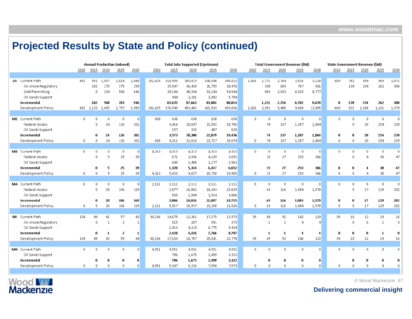|                        |              |                |              | <b>Annual Production (mboed)</b> |                 |         |         | <b>Total Jobs Supported (Upstream)</b> |         |         |       |                |                | <b>Total Government Revenue (\$M)</b> |          | State Government Revenue (\$M) |             |                |              |              |
|------------------------|--------------|----------------|--------------|----------------------------------|-----------------|---------|---------|----------------------------------------|---------|---------|-------|----------------|----------------|---------------------------------------|----------|--------------------------------|-------------|----------------|--------------|--------------|
|                        | 2010         | 2015           | 2020         | 2025                             | 2030            | 2010    | 2015    | 2020                                   | 2025    | 2030    | 2010  | 2015           | 2020           | 2025                                  | 2030     | 2010                           | 2015        | 2020           | 2025         | 2030         |
|                        |              |                |              |                                  |                 |         |         |                                        |         |         |       |                |                |                                       |          |                                |             |                |              |              |
| LA Current Path        | 882          | 951            | 1,097        | 1,014                            | 1,040           | 281,625 | 310,905 | 365,819                                | 338,048 | 345,022 | 1,066 | 1,771          | 2,764          | 2,826                                 | 3,128    | 669                            | 782         | 954            | 969          | 1,071        |
| On-shore Regulatory    |              | 182            | 275          | 275                              | 299             |         | 25,547  | 36,439                                 | 26,759  | 28,476  |       | 338            | 693            | 767                                   | 901      |                                | 139         | 234            | 262          | 308          |
| <b>GoM Permitting</b>  |              | $\Omega$       | 234          | 508                              | 646             |         | 39,144  | 48,944                                 | 53,144  | 54,544  |       | 883            | 2,023          | 6,015                                 | 8,777    |                                |             |                |              |              |
| Oil Sands Support      |              |                |              |                                  |                 |         | 944     | 2,281                                  | 3,982   | 5,794   |       |                |                |                                       |          |                                |             |                |              |              |
| Incremental            |              | 182            | 508          | 783                              | 946             |         | 65,635  | 87,663                                 | 83,884  | 88,814  |       | 1,221          | 2,716          | 6,782                                 | 9,678    | n                              | 139         | 234            | 262          | 308          |
| Development Policy     |              | 882 1,133      | 1,605        | 1,797                            | 1,985           | 281,625 | 376,540 | 453,482                                | 421,933 | 433,836 | 1,066 | 2,991          | 5,480          | 9,608                                 | 12,805   | 669                            | 921         | 1,188          | 1,231        | 1,379        |
|                        |              |                |              |                                  |                 |         |         |                                        |         |         |       |                |                |                                       |          |                                |             |                |              |              |
| ME Current Path        | $\mathbf{0}$ | n              | $\Omega$     | $\Omega$                         | $\overline{0}$  | 638     | 638     | 638                                    | 638     | 638     | n.    | $\sqrt{0}$     | $\overline{0}$ | 0                                     | $\Omega$ | $\Omega$                       | n           | $\mathbf 0$    | $\mathbf 0$  | 0            |
| Federal Access         |              | 0.             | 24           | 126                              | 201             |         | 3,416   | 20,047                                 | 21,592  | 18,796  |       | 74             | 137            | 1,287                                 | 1,864    |                                | n           | 20             | 154          | 239          |
| Oil Sands Support      |              |                |              |                                  |                 |         | 157     | 333                                    | 487     | 639     |       |                |                |                                       |          |                                |             |                |              |              |
| Incremental            |              | n              | 24           | 126                              | 201             |         | 3,573   | 20,380                                 | 22,079  | 19,436  |       | 74             | 137            | 1,287                                 | 1,864    | 0                              | $\mathbf n$ | 20             | 154          | 239          |
| Development Policy     | 0            | 0              | 24           | 126                              | 201             | 638     | 4,211   | 21,018                                 | 22,717  | 20,074  | 0.    | 74             | 137            | 1,287                                 | 1,864    | $\Omega$                       | n           | 20             | 154          | 239          |
|                        |              |                |              |                                  |                 |         |         |                                        |         |         |       |                |                |                                       |          |                                |             |                |              |              |
| <b>MD</b> Current Path | $^{\circ}$   | 0              | $\mathbf{0}$ | 0                                | $\vert 0 \vert$ | 4,313   | 4,313   | 4,313                                  | 4,313   | 4,313   | 0     | $\theta$       | $\overline{0}$ | $\mathbf{0}$                          | $\Omega$ | 0                              | 0           | $\theta$       | $\mathbf 0$  | 0            |
| <b>Federal Access</b>  |              | $^{\circ}$     | 5            | 25                               | 39              |         | 671     | 3,936                                  | 4,239   | 3,691   |       | 15             | 27             | 253                                   | 366      |                                | $\Omega$    | 4              | 30           | 47           |
| Oil Sands Support      |              |                |              |                                  |                 |         | 649     | 1,408                                  | 2,177   | 2,962   |       |                |                |                                       |          |                                |             |                |              |              |
| Incremental            |              | 0              | 5            | 25                               | 39              |         | 1,320   | 5,344                                  | 6,417   | 6,652   |       | 15             | 27             | 253                                   | 366      | 0                              | 0           | 4              | 30           | 47           |
| Development Policy     | $\mathbf{0}$ | $\Omega$       | 5            | 25                               | 39              | 4,313   | 5,633   | 9,657                                  | 10,730  | 10,965  | 0.    | 15             | 27             | 253                                   | 366      | $\Omega$                       | $\Omega$    | 4              | 30           | 47           |
|                        |              |                |              |                                  |                 |         |         |                                        |         |         |       |                |                |                                       |          |                                |             |                |              |              |
| MA Current Path        | $\mathbf{0}$ |                | $\Omega$     | $\Omega$                         | $\vert 0 \vert$ | 2,111   | 2,111   | 2,111                                  | 2,111   | 2,111   | 0.    | $\overline{0}$ | $\overline{0}$ | $\mathbf{0}$                          | $\Omega$ | 0                              | 0           | $\mathbf{0}$   | $\mathbf 0$  | 0            |
| <b>Federal Access</b>  |              | $\mathbf 0$    | 20           | 106                              | 169             |         | 2,877   | 16,882                                 | 18,183  | 15,829  |       | 63             | 116            | 1,084                                 | 1,570    |                                | $\Omega$    | 17             | 129          | 202          |
| Oil Sands Support      |              |                |              |                                  |                 |         | 930     | 1,944                                  | 2,914   | 3,886   |       |                |                |                                       |          |                                |             |                |              |              |
| Incremental            |              | n              | 20           | 106                              | 169             |         | 3,806   | 18,826                                 | 21,097  | 19,715  |       | 63             | 116            | 1,084                                 | 1,570    | 0                              | n           | 17             | 129          | 202          |
| Development Policy     | $\mathbf 0$  | $\overline{0}$ | 20           | 106                              | 169             | 2,111   | 5,917   | 20,937                                 | 23,208  | 21,826  | 0     | 63             | 116            | 1,084                                 | 1,570    | $\mathbf{0}$                   | 0           | 17             | 129          | 202          |
|                        |              |                |              |                                  |                 |         |         |                                        |         |         |       |                |                |                                       |          |                                |             |                |              |              |
| MI Current Path        | 104          | 49             | 41           | 57                               | 43              | 30,136  | 14,675  | 12,361                                 | 17,275  | 12,973  | 39    | 68             | 91             | 142                                   | 119      | 39                             | 10          | 12             | 19           | 16           |
| On-shore Regulatory    |              | $\mathbf{0}$   | $\mathbf{1}$ | $\overline{2}$                   | $\mathbf{1}$    |         | 515     | 207                                    | 991     | 373     |       | $\mathbf{1}$   | 1              | 4                                     |          |                                | n           | $\mathbf{0}$   |              | $\mathbf{0}$ |
| Oil Sands Support      |              |                |              |                                  |                 |         | 1,913   | 4,218                                  | 6,775   | 9,424   |       |                |                |                                       |          |                                |             |                |              |              |
| Incremental            |              | 0              | 1            | 2                                | 1               |         | 2,428   | 4,426                                  | 7,766   | 9,797   |       | 1              | 1              | 4                                     | 4        | 0                              | $\mathbf 0$ | $\bf{0}$       | $\mathbf{1}$ | 0            |
| Development Policy     | 104          | 49             | 42           | 59                               | 44              | 30,136  | 17,103  | 16,787                                 | 25,041  | 22,770  | 39    | 69             | 92             | 146                                   | 122      | 39                             | 10          | 12             | 19           | 16           |
|                        |              |                |              |                                  |                 |         |         |                                        |         |         |       |                |                |                                       |          |                                |             |                |              |              |
| MN Current Path        | $\mathbf 0$  |                | $\mathsf{u}$ | $\Omega$                         | $\mathsf{n}$    | 4,551   | 4,551   | 4,551                                  | 4,551   | 4,551   | n.    | $\Omega$       | $\mathbf{0}$   | $\mathbf 0$                           | $\Omega$ | 0.                             |             | $\overline{0}$ | $\mathbf 0$  | n.           |
| Oil Sands Support      |              |                |              |                                  |                 |         | 796     | 1,675                                  | 2,499   | 3,322   |       |                |                |                                       |          |                                |             |                |              |              |
| Incremental            |              | n              | 0            | 0                                | $\bf{0}$        |         | 796     | 1,675                                  | 2,499   | 3,322   |       | -0             | $\bf{0}$       | 0                                     | 0        |                                |             | 0              | n            |              |
| Development Policy     | $\mathbf 0$  | $\Omega$       | $\Omega$     | $\Omega$                         | $\Omega$        | 4,551   | 5,347   | 6,226                                  | 7,050   | 7,873   | 0.    | $\Omega$       | $\theta$       | $\mathbf{0}$                          | $\Omega$ | 0.                             |             | $\Omega$       | $\Omega$     |              |
|                        |              |                |              |                                  |                 |         |         |                                        |         |         |       |                |                |                                       |          |                                |             |                |              |              |



© Wood Mackenzie 47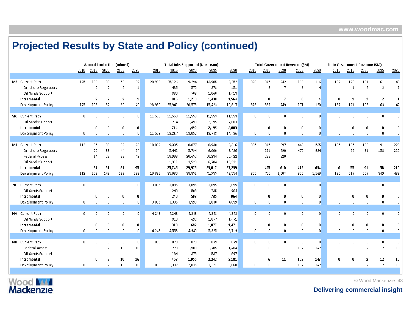|                       |              |                |                | <b>Annual Production (mboed)</b> |                 |        |        | <b>Total Jobs Supported (Upstream)</b> |        |        |              |             |                                       | <b>Total Government Revenue (\$M)</b> |           | State Government Revenue (\$M) |          |                |              |          |
|-----------------------|--------------|----------------|----------------|----------------------------------|-----------------|--------|--------|----------------------------------------|--------|--------|--------------|-------------|---------------------------------------|---------------------------------------|-----------|--------------------------------|----------|----------------|--------------|----------|
|                       | 2010         | 2015           | 2020           | 2025                             | 2030            | 2010   | 2015   | 2020                                   | 2025   | 2030   | 2010         | 2015        | 2020                                  | 2025                                  | 2030      | 2010                           | 2015     | 2020           | 2025         | 2030     |
|                       |              |                |                |                                  |                 |        |        |                                        |        |        |              |             |                                       |                                       |           |                                |          |                |              |          |
| MS Current Path       | 125          | 106            | 80             | 58                               | 39              | 28,980 | 25,126 | 19,294                                 | 13,985 | 9,252  | 326          | 345         | 242                                   | 166                                   | 116       | 187                            | 170      | 101            | 61           | 40       |
| On-shore Regulatory   |              | $\overline{2}$ | $\overline{2}$ | $\overline{2}$                   | -1              |        | 485    | 570                                    | 378    | 151    |              | 8           | $\overline{7}$                        | 6                                     | $\Lambda$ |                                |          | $\overline{2}$ | 2            |          |
| Oil Sands Support     |              |                |                |                                  |                 |        | 330    | 708                                    | 1,060  | 1,413  |              |             |                                       |                                       |           |                                |          |                |              |          |
| Incremental           |              | 2              | 2              | 2                                | $\vert 1 \vert$ |        | 815    | 1,278                                  | 1,438  | 1,564  |              | -8          | $\overline{I}$                        | 6                                     | -4        | 0                              |          | $\overline{2}$ | 2            |          |
| Development Policy    | 125          | 109            | 82             | 60                               | 40              | 28,980 | 25,941 | 20,573                                 | 15,423 | 10,817 | 326          | 352         | 249                                   | 171                                   | 120       | 187                            | 171      | 103            | 63           | 42       |
|                       |              |                |                |                                  |                 |        |        |                                        |        |        |              |             |                                       |                                       |           |                                |          |                |              |          |
| MO Current Path       | 0.           | $\Omega$       | $\mathbf 0$    | $\mathbf{0}$                     | $\mathsf{n}$    | 11,553 | 11,553 | 11,553                                 | 11,553 | 11,553 | $\Omega$     | $\Omega$    | $\mathbb{R}$                          | $\mathbf{0}$                          | $\Omega$  | $\Omega$                       | $\Omega$ | $\mathbf 0$    | $\mathbf{0}$ | n        |
| Oil Sands Support     |              |                |                |                                  |                 |        | 714    | 1,499                                  | 2,195  | 2,883  |              |             |                                       |                                       |           |                                |          |                |              |          |
| Incremental           |              | n              | 0              | 0                                | $\mathbf{0}$    |        | 714    | 1,499                                  | 2,195  | 2,883  |              | n           | 0                                     | 0                                     | 0         |                                | n        | 0              | 0            |          |
| Development Policy    | 0            | $\mathbf{0}$   | $\mathbf 0$    | $\mathbf 0$                      | $\Omega$        | 11,553 | 12,267 | 13,052                                 | 13,748 | 14,436 | $\mathbf{u}$ | $\Omega$    | $\Omega$                              | $\mathbf 0$                           | $\Omega$  | $\Omega$                       | $\Omega$ | $\mathbf{0}$   | $\mathbf{r}$ |          |
|                       |              |                |                |                                  |                 |        |        |                                        |        |        |              |             |                                       |                                       |           |                                |          |                |              |          |
| MT Current Path       | 112          | 95             | 88             | 89                               | 93              | 10,832 | 9,335  | 8,877                                  | 8,938  | 9,316  | 305          | 345         | 397                                   | 448                                   | 535       | 165                            | 165      | 168            | 191          | 228      |
| On-shore Regulatory   |              | 20             | 33             | 44                               | 54              |        | 5,441  | 5,794                                  | 6,000  | 6,486  |              | 121         | 290                                   | 472                                   | 634       |                                | 55       | 91             | 158          | 210      |
| <b>Federal Access</b> |              | 14             | 28             | 36                               | 42              |        | 18,993 | 20,652                                 | 20,234 | 20,422 |              | 283         | 320                                   |                                       |           |                                |          |                |              |          |
| Oil Sands Support     |              |                |                |                                  |                 |        | 1,311  | 3,529                                  | 6,784  | 10,331 |              |             |                                       |                                       |           |                                |          |                |              |          |
| Incremental           |              | 34             | 61             | 81                               | 95              |        | 25,745 | 29,975                                 | 33,017 | 37,239 |              | 405         | 610                                   | 472                                   | 634       | n                              | 55       | 91             | 158          | 210      |
| Development Policy    | 112          | 128            | 149            | 169                              | 188             | 10,832 | 35,080 | 38,851                                 | 41,955 | 46,554 | 305          | 750         | 1,007                                 | 920                                   | 1,169     | 165                            | 219      | 259            | 349          | 439      |
|                       |              |                |                |                                  |                 |        |        |                                        |        |        |              |             |                                       |                                       |           |                                |          |                |              |          |
| NE Current Path       | 0            | n              | $\Omega$       | n.                               | $\Omega$        | 3,095  | 3,095  | 3,095                                  | 3,095  | 3,095  | $\Omega$     | $\Omega$    | $\mathbf{0}$                          | $\mathbf 0$                           | $\Omega$  | $\Omega$                       | n        | $\mathbf 0$    | $\mathbf{0}$ | 0        |
| Oil Sands Support     |              |                |                |                                  |                 |        | 240    | 503                                    | 735    | 964    |              |             |                                       |                                       |           |                                |          |                |              |          |
| Incremental           |              | n              | 0              | 0                                | $\mathbf{0}$    |        | 240    | 503                                    | 735    | 964    |              | n           | $\mathbf n$                           | 0                                     | 0         |                                |          | 0              | n            |          |
| Development Policy    | 0            | n              | $\Omega$       | n.                               | $\overline{0}$  | 3,095  | 3,335  | 3,598                                  | 3,830  | 4,059  | $\mathbf{r}$ | $\Omega$    | $\Omega$                              | $\mathbf 0$                           | $\Omega$  | $\Omega$                       | n        | $\Omega$       |              |          |
|                       |              |                |                |                                  |                 |        |        |                                        |        |        |              |             |                                       |                                       |           |                                |          |                |              |          |
| NV Current Path       | $\mathbf{0}$ | $\Omega$       | $\mathbf 0$    | n.                               | $\Omega$        | 4,248  | 4,248  | 4,248                                  | 4,248  | 4,248  | $\Omega$     | 0           | $\begin{array}{c} 0 \\ 0 \end{array}$ | 0                                     | $\Omega$  | $\Omega$                       | $\Omega$ | $\mathbf{0}$   | $\mathbf{0}$ | $\Omega$ |
| Oil Sands Support     |              |                |                |                                  |                 |        | 310    | 692                                    | 1,077  | 1,471  |              |             |                                       |                                       |           |                                |          |                |              |          |
| Incremental           |              | n              | n              | 0                                | $\mathbf{0}$    |        | 310    | 692                                    | 1,077  | 1,471  |              | n           | 0                                     | 0                                     | 0         |                                | n        | $\bf{0}$       |              |          |
| Development Policy    | 0            | 0              | $\mathbf 0$    | $\Omega$                         | $\Omega$        | 4,248  | 4,558  | 4,940                                  | 5,325  | 5,719  | 0            | $\mathbf 0$ | $\begin{array}{c} 0 \\ 0 \end{array}$ | $\mathbf 0$                           | $\Omega$  | $\Omega$                       | 0        | $\mathbf{0}$   | $\Omega$     |          |
|                       |              |                |                |                                  |                 |        |        |                                        |        |        |              |             |                                       |                                       |           |                                |          |                |              |          |
| NH Current Path       | $\mathbf{0}$ | n              | 0              | $\mathbf{0}$                     | $\vert 0 \vert$ | 879    | 879    | 879                                    | 879    | 879    | $\mathbf{r}$ | 0           | $\overline{0}$                        | 0                                     | $\Omega$  | $\Omega$                       | 0        | $\mathbf{0}$   | $\mathbf 0$  |          |
| Federal Access        |              | n              | 2              | 10                               | 16              |        | 270    | 1,583                                  | 1,705  | 1,484  |              | 6           | 11                                    | 102                                   | 147       |                                | n        | $\overline{2}$ | 12           | 19       |
| Oil Sands Support     |              |                |                |                                  |                 |        | 184    | 373                                    | 537    | 697    |              |             |                                       |                                       |           |                                |          |                |              |          |
| Incremental           |              | n              | $\overline{2}$ | 10                               | 16              |        | 453    | 1,956                                  | 2,242  | 2,181  |              |             | 11                                    | 102                                   | 147       | 0                              | ß        | $\overline{2}$ | 12           | 19       |
| Development Policy    | O            | n.             | 2              | 10                               | 16              | 879    | 1,332  | 2,835                                  | 3,121  | 3,060  | $\mathbf{u}$ | 6           | 11                                    | 102                                   | 147       | $\Omega$                       | n        | 2              | 12           | 19       |



© Wood Mackenzie 48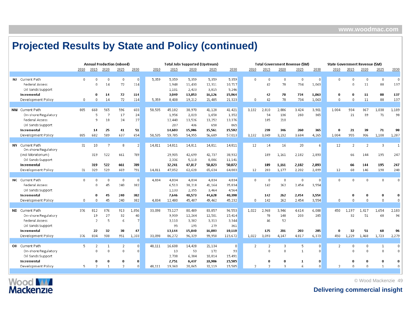|                        |              |              |                | <b>Annual Production (mboed)</b> |                |        |        | <b>Total Jobs Supported (Upstream)</b> |        |                |                |                |                | <b>Total Government Revenue (\$M)</b> |              |                |                | State Government Revenue (\$M) |              |                |
|------------------------|--------------|--------------|----------------|----------------------------------|----------------|--------|--------|----------------------------------------|--------|----------------|----------------|----------------|----------------|---------------------------------------|--------------|----------------|----------------|--------------------------------|--------------|----------------|
|                        | 2010         | 2015         | 2020           | 2025                             | 2030           | 2010   | 2015   | 2020                                   | 2025   | 2030           | 2010           | 2015           | 2020           | 2025                                  | 2030         | 2010           | 2015           | 2020                           | 2025         | 2030           |
|                        |              |              |                |                                  |                |        |        |                                        |        |                |                |                |                |                                       |              |                |                |                                |              |                |
| NJ Current Path        | $\mathbf 0$  | $\Omega$     | $\mathbf{0}$   | $\Omega$                         | $\overline{0}$ | 5,359  | 5,359  | 5,359                                  | 5,359  | 5,359          | n.             | $\mathbf{0}$   | $\overline{0}$ | $\mathbf{0}$                          | $\Omega$     | 0.             | $\sqrt{ }$     | $\mathbf 0$                    | $\mathbf 0$  | $\mathbf 0$    |
| <b>Federal Access</b>  |              | $\Omega$     | 14             | 72                               | 114            |        | 1,948  | 11,430                                 | 12,311 | 10,717         |                | 42             | 78             | 734                                   | 1,063        |                | -n             | 11                             | 88           | 137            |
| Oil Sands Support      |              |              |                |                                  |                |        | 1,101  | 2,423                                  | 3,815  | 5,246          |                |                |                |                                       |              |                |                |                                |              |                |
| Incremental            |              | n            | 14             | 72                               | 114            |        | 3,049  | 13,853                                 | 16,126 | 15,964         |                | 42             | 78             | 734                                   | 1,063        | 0              | $\mathbf n$    | 11                             | 88           | 137            |
| Development Policy     | $\mathbf 0$  | $\Omega$     | 14             | 72                               | 114            | 5,359  | 8,408  | 19,212                                 | 21,485 | 21,323         | $\mathbf{0}$   | 42             | 78             | 734                                   | 1,063        | $\mathbf{0}$   | $\mathbf{0}$   | $11\,$                         | 88           | 137            |
|                        |              |              |                |                                  |                |        |        |                                        |        |                |                |                |                |                                       |              |                |                |                                |              |                |
| <b>NM</b> Current Path | 885          | 668          | 565            | 596                              | 603            | 58,535 | 45,182 | 38,970                                 | 41,128 | 41,421         | 3,132          | 2,810          | 2,886          | 3,424                                 | 3,901        | 1,004          | 934            | 867                            | 1,038        | 1,189          |
| On-shore Regulatory    |              | -5           | $\overline{7}$ | 17                               | 24             |        | 1,956  | 2,023                                  | 1,658  | 1,352          |                | 54             | 136            | 260                                   | 365          |                | 21             | 39                             | 71           | 98             |
| <b>Federal Access</b>  |              | 9            | 18             | 24                               | 27             |        | 12,440 | 13,526                                 | 13,252 | 13,376         |                | 185            | 210            |                                       |              |                |                |                                |              |                |
| Oil Sands Support      |              |              |                |                                  |                |        | 207    | 436                                    | 650    | 865            |                |                |                |                                       |              |                |                |                                |              |                |
| Incremental            |              | 14           | 25             | 41                               | 51             |        | 14,603 | 15,986                                 | 15,561 | 15,592         |                | 239            | 346            | 260                                   | 365          | n              | 21             | 39                             | 71           | 98             |
| Development Policy     | 885          | 682          | 589            | 637                              | 654            | 58,535 | 59,785 | 54,955                                 | 56,689 | 57,013         | 3,132          | 3,049          | 3,232          | 3,684                                 | 4,265        | 1,004          | 955            | 906                            | 1,108        | 1,287          |
|                        |              |              |                |                                  |                |        |        |                                        |        |                |                |                |                |                                       |              |                |                |                                |              |                |
| NY Current Path        | 31           | 10           | $\overline{7}$ | 8                                | $\overline{2}$ | 14,811 | 14,811 | 14,811                                 | 14,811 | 14,811         | 12             | 14             | 16             | 20                                    | 6            | 12             | $\overline{2}$ | $\overline{2}$                 | 3            | $\overline{1}$ |
| On-shore Regulatory    |              |              |                |                                  |                |        |        |                                        |        |                |                |                |                |                                       |              |                |                |                                |              |                |
| (incl Moratorium)      |              | 319          | 522            | 661                              | 789            |        | 29,905 | 42,699                                 | 42,737 | 38,932         |                | 189            | 1,161          | 2,182                                 | 2,893        |                | 66             | 144                            | 195          | 247            |
| Oil Sands Support      |              |              |                |                                  |                |        | 2,336  | 5,118                                  | 8,086  | 11,141         |                |                |                |                                       |              |                |                |                                |              |                |
| Incremental            |              | 319          | 522            | 661                              | 789            |        | 32,241 | 47,817                                 | 50,823 | 50,072         |                | 189            | 1,161          | 2,182                                 | 2,893        |                | 66             | 144                            | 195          | 247            |
| Development Policy     | 31           | 329          | 529            | 669                              | 791            | 14,811 | 47,052 | 62,628                                 | 65,634 | 64,883         | 12             | 203            | 1,177          | 2,202                                 | 2,899        | 12             | 68             | 146                            | 198          | 248            |
|                        |              |              |                |                                  |                |        |        |                                        |        |                |                |                |                |                                       |              |                |                |                                |              |                |
| <b>NC</b> Current Path | $\mathbf{0}$ | $\Omega$     | $\mathbf{0}$   | $\mathbf{0}$                     | $\overline{0}$ | 4,834  | 4,834  | 4,834                                  | 4,834  | 4,834          | n.             | $\Omega$       | $\theta$       | $\theta$                              | $\mathbf{0}$ | n.             | $\mathbf{0}$   | $\mathbf{0}$                   | $\Omega$     | 0              |
| <b>Federal Access</b>  |              | -n           | 45             | 240                              | 382            |        | 6,513  | 38,218                                 | 41,164 | 35,834         |                | 142            | 262            | 2,454                                 | 3,554        |                |                |                                |              |                |
| Oil Sands Support      |              |              |                |                                  |                |        | 1,133  | 2,355                                  | 3,464  | 4,564          |                |                |                |                                       |              |                |                |                                |              |                |
| Incremental            |              | $\mathbf n$  | 45             | 240                              | 382            |        | 7,646  | 40,573                                 | 44,628 | 40,398         |                | 142            | 262            | 2,454                                 | 3,554        |                | $\mathbf 0$    | 0                              | 0            | n              |
| Development Policy     | $\mathbf{0}$ | $\Omega$     | 45             | 240                              | 382            | 4,834  | 12,480 | 45,407                                 | 49,462 | 45,232         | 0              | 142            | 262            | 2,454                                 | 3,554        | 0              | $\mathbf{0}$   | $\Omega$                       | $\Omega$     | $\Omega$       |
|                        |              |              |                |                                  |                |        |        |                                        |        |                |                |                |                |                                       |              |                |                |                                |              |                |
| <b>ND</b> Current Path | 376          | 812          | 876            | 913                              | 1,056          | 33,098 | 73,127 | 80,489                                 | 83,857 | 96,553         | 1.022          | 2,968          | 3,946          | 4,614                                 | 6,088        | 450            | 1.197          | 1,417                          | 1,654        | 2,183          |
| On-shore Regulatory    |              | 19           | 27             | 32                               | 40             |        | 9,939  | 12,264                                 | 12,501 | 15,414         |                | 78             | 148            | 203                                   | 285          |                | 32             | 51                             | 68           | 96             |
| Federal Access         |              | 2            | 5              | 6                                | -7             |        | 3,110  | 3,382                                  | 3,313  | 3,344          |                | 46             | 52             |                                       |              |                |                |                                |              |                |
| Oil Sands Support      |              |              |                |                                  |                |        | 95     | 195                                    | 279    | 361            |                |                |                |                                       |              |                |                |                                |              |                |
| Incremental            |              | 22           | 32             | 38                               | 47             |        | 13,144 | 15,840                                 | 16,093 | 19,119         |                | 125            | 201            | 203                                   | 285          | n              | 32             | 51                             | 68           | 96             |
| Development Policy     | 376          | 834          | 908            | 951                              | 1,103          | 33,098 | 86,272 | 96,329                                 | 99,950 | 115,672        | 1,022          | 3,093          | 4,147          | 4,817                                 | 6,373        | 450            | 1,229          | 1,468                          | 1,723        | 2,279          |
|                        |              |              |                |                                  |                |        |        |                                        |        |                |                |                |                |                                       |              |                |                |                                |              |                |
| OH Current Path        | 5            | -2           | $\mathbf{1}$   | $\overline{2}$                   | $\overline{0}$ | 48,111 | 16,608 | 14,428                                 | 21,134 | $\overline{0}$ | $\overline{2}$ | $\overline{2}$ | 3              | 5                                     | $\mathbf 0$  | $\overline{2}$ | $\Omega$       | $\mathbf{0}$                   | $\mathbf{1}$ | $\Omega$       |
| On-shore Regulatory    |              | $\Omega$     | $\mathbf{0}$   | $\Omega$                         | $\overline{0}$ |        | 13     | 53                                     | 172    | 93             |                | $\Omega$       | $\Omega$       | $\mathbf{1}$                          | $\Omega$     |                | $\Omega$       | $\Box$                         | $\Omega$     | $\mathbf 0$    |
| Oil Sands Support      |              |              |                |                                  |                |        | 2,738  | 6,384                                  | 10,814 | 15,491         |                |                |                |                                       |              |                |                |                                |              |                |
| Incremental            |              | $\mathbf{0}$ | U              | n                                | $\bf{0}$       |        | 2,751  | 6,437                                  | 10,986 | 15,585         |                | 0              | $\bf{0}$       | 1                                     | $\bf{0}$     |                | -0             | n                              | n            | n              |
| Development Policy     | 5            | 2            | $\mathbf{1}$   | $\overline{2}$                   | $\Omega$       | 48,111 | 19,360 | 20,865                                 | 32,119 | 15,585         | $\overline{2}$ | $\overline{2}$ | 3              | 6                                     | $\Omega$     | $\overline{2}$ | -O             | $\Omega$                       | -1           |                |
|                        |              |              |                |                                  |                |        |        |                                        |        |                |                |                |                |                                       |              |                |                |                                |              |                |

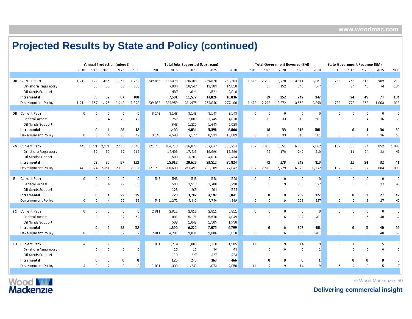|                        |              |                   |                | <b>Annual Production (mboed)</b> |                |         |         | <b>Total Jobs Supported (Upstream)</b> |         |         |              |                |                | <b>Total Government Revenue (SM)</b> |                | State Government Revenue (\$M) |             |                                     |              |              |
|------------------------|--------------|-------------------|----------------|----------------------------------|----------------|---------|---------|----------------------------------------|---------|---------|--------------|----------------|----------------|--------------------------------------|----------------|--------------------------------|-------------|-------------------------------------|--------------|--------------|
|                        | 2010         | 2015              | 2020           | 2025                             | 2030           | 2010    | 2015    | 2020                                   | 2025    | 2030    | 2010         | 2015           | 2020           | 2025                                 | 2030           | 2010                           | 2015        | 2020                                | 2025         | 2030         |
|                        |              |                   |                |                                  |                |         |         |                                        |         |         |              |                |                |                                      |                |                                |             |                                     |              |              |
| OK Current Path        | 1.211        | 1,122             | 1,065          | 1,159                            | 1,264          | 239,883 | 227,378 | 220,403                                | 239,820 | 260,264 | 1.692        | 2,204          | 2,720          | 3,311                                | 4,051          | 762                            | 753         | 812                                 | 989          | 1,210        |
| On-shore Regulatory    |              | 35                | 59             | 87                               | 108            |         | 7,094   | 10,547                                 | 13,303  | 14,818  |              | 69             | 152            | 249                                  | 347            |                                | 24          | 45                                  | 74           | 104          |
| Oil Sands Support      |              |                   |                |                                  |                |         | 487     | 1,026                                  | 1,522   | 2,018   |              |                |                |                                      |                |                                |             |                                     |              |              |
| Incremental            |              | 35                | 59             | 87                               | 108            |         | 7,581   | 11,572                                 | 14,826  | 16,836  |              | 69             | 152            | 249                                  | 347            |                                | 24          | 45                                  | 74           | 104          |
| Development Policy     |              | 1,211 1,157 1,125 |                | 1,246                            | 1,373          | 239,883 | 234,959 | 231,975                                | 254,646 | 277,100 | 1,692        | 2,273          | 2,872          | 3,559                                | 4,398          | 762                            | 776         | 858                                 | 1,063        | 1,313        |
|                        |              |                   |                |                                  |                |         |         |                                        |         |         |              |                |                |                                      |                |                                |             |                                     |              |              |
| OR Current Path        | $\mathbf{0}$ | $\Omega$          | $\Omega$       | $\Omega$                         | $\mathbf{0}$   | 3.143   | 3,143   | 3,143                                  | 3,143   | 3,143   | $\mathbf 0$  | $\mathbf{0}$   | $\theta$       | $\mathbf{0}$                         | $\Omega$       | 0                              | 0           | $\begin{array}{c} 0 \\ \end{array}$ | $\mathbf 0$  | $\mathbf{0}$ |
| <b>Federal Access</b>  |              | $\Omega$          | Δ              | 28                               | 42             |         | 752     | 2,809                                  | 3,745   | 4,838   |              | 18             | 33             | 316                                  | 501            |                                | -n          | Д                                   | 36           | 60           |
| Oil Sands Support      |              |                   |                |                                  |                |         | 648     | 1,225                                  | 1,645   | 2,028   |              |                |                |                                      |                |                                |             |                                     |              |              |
| Incremental            |              | $\mathbf 0$       |                | 28                               | 42             |         | 1,400   | 4,034                                  | 5,390   | 6,866   |              | 18             | 33             | 316                                  | 501            |                                | $\mathbf n$ |                                     | 36           | 60           |
| Development Policy     | $\mathbf{0}$ | $\Omega$          | 4              | 28                               | 42             | 3,143   | 4,543   | 7,177                                  | 8,533   | 10,009  | 0            | 18             | 33             | 316                                  | 501            | 0.                             | 0           |                                     | 36           | 60           |
|                        |              |                   |                |                                  |                |         |         |                                        |         |         |              |                |                |                                      |                |                                |             |                                     |              |              |
| PA Current Path        | 441          | 1,771             | 2,271          | 2,566                            | 2,848          | 121,783 | 184,719 | 236,870                                | 267,677 | 296,217 | 167          | 2,438          | 5,051          | 6,386                                | 7,862          | 167                            | 365         | 674                                 | 852          | 1,049        |
| On-shore Regulatory    |              | 52                | 80             | 97                               | 112            |         | 14,403  | 17,423                                 | 18,696  | 19,390  |              | 72             | 178            | 242                                  | 310            |                                | 11          | 24                                  | 32           | 41           |
| Oil Sands Support      |              |                   |                |                                  |                |         | 1,509   | 3,206                                  | 4,816   | 6,434   |              |                |                |                                      |                |                                |             |                                     |              |              |
| Incremental            |              | 52                | 80             | 97                               | 112            |         | 15,912  | 20,629                                 | 23,512  | 25,824  |              | 72             | 178            | 242                                  | 310            |                                | 11          | 24                                  | 32           | 41           |
| Development Policy     |              | 441 1,824         | 2,351          | 2,663                            | 2,961          | 121,783 | 200,630 | 257,499                                | 291,189 | 322,042 | 167          | 2,510          | 5,229          | 6,629                                | 8,172          | 167                            | 376         | 697                                 | 884          | 1,090        |
|                        |              |                   |                |                                  |                |         |         |                                        |         |         |              |                |                |                                      |                |                                |             |                                     |              |              |
| <b>RI</b> Current Path | $\mathbf{0}$ | $\Omega$          | $\mathbf 0$    | $\Omega$                         | $\overline{0}$ | 548     | 548     | 548                                    | 548     | 548     | $\mathbf{0}$ | $\overline{0}$ | $\,0\,$        | $\mathbf 0$                          | $\Box$         | 0                              | n           | $\mathbf{0}$                        | $\mathbf 0$  |              |
| <b>Federal Access</b>  |              | $\theta$          | $\Delta$       | 22                               | 35             |         | 599     | 3,517                                  | 3,788   | 3,298   |              | $\theta$       | 9              | 209                                  | 327            |                                | $\Omega$    | 3                                   | 27           | 42           |
| Oil Sands Support      |              |                   |                |                                  |                |         | 123     | 265                                    | 404     | 544     |              |                |                |                                      |                |                                |             |                                     |              |              |
| Incremental            |              | $\mathbf 0$       | 4              | 22                               | 35             |         | 723     | 3,782                                  | 4,192   | 3,841   |              | $\mathbf 0$    | 9              | 209                                  | 327            |                                | $\mathbf n$ | 3                                   | 27           | 42           |
| Development Policy     | $\mathbf 0$  | $\overline{0}$    | Д              | 22                               | 35             | 548     | 1,271   | 4,330                                  | 4,740   | 4,389   | $\mathbf 0$  | $\mathbf{0}$   | -9             | 209                                  | 327            | n.                             | $\sqrt{ }$  | 3                                   | 27           | 42           |
|                        |              |                   |                |                                  |                |         |         |                                        |         |         |              |                |                |                                      |                |                                |             |                                     |              |              |
| SC Current Path        | $\mathbf{0}$ | $\Box$            | $\mathbf{0}$   | $\Omega$                         | $\overline{0}$ | 2,811   | 2,811   | 2,811                                  | 2,811   | 2,811   | $\mathbf{0}$ | $\theta$       | $\overline{0}$ | $\mathbf 0$                          | $\Omega$       | $\Omega$                       | $\Box$      | $\mathbf{0}$                        | $\mathbf{0}$ | $\mathbf{0}$ |
| <b>Federal Access</b>  |              | $\Omega$          | 6              | 32                               | 52             |         | 881     | 5,171                                  | 5,570   | 4,849   |              | $\Omega$       | 6              | 307                                  | 481            |                                | -n          | 5                                   | 40           | 62           |
| Oil Sands Support      |              |                   |                |                                  |                |         | 508     | 1,049                                  | 1,505   | 1,950   |              |                |                |                                      |                |                                |             |                                     |              |              |
| Incremental            |              | $\mathbf 0$       | 6              | 32                               | 52             |         | 1,390   | 6,220                                  | 7,075   | 6,799   |              | $\bf{0}$       | 6              | 307                                  | 481            |                                | $\mathbf n$ | 5                                   | 40           | 62           |
| Development Policy     | $\mathbf 0$  | $\mathbf 0$       | 6              | 32                               | 52             | 2,811   | 4,201   | 9,031                                  | 9,886   | 9,610   | $\mathbf 0$  | $\mathbf 0$    | 6              | 307                                  | 481            | 0                              |             | 5                                   | 40           | 62           |
|                        |              |                   |                |                                  |                |         |         |                                        |         |         |              |                |                |                                      |                |                                |             |                                     |              |              |
| SD Current Path        | $\Delta$     | 3                 | 2              | 3                                | 3              | 1,881   | 1,214   | 1,000                                  | 1,310   | 1,585   | 11           | -9             | 9              | 14                                   | 19             | 5.                             | 4           | 3                                   | 5            | 7            |
| On-shore Regulatory    |              | $\Omega$          | $\mathbf{0}$   | $\mathsf{n}$                     | $\mathbf{0}$   |         | 15      | 12                                     | 36      | 43      |              | $\Omega$       | $\overline{0}$ | $\overline{0}$                       | $\overline{1}$ |                                |             | $\Omega$                            | $\Omega$     |              |
| Oil Sands Support      |              |                   |                |                                  |                |         | 110     | 227                                    | 327     | 423     |              |                |                |                                      |                |                                |             |                                     |              |              |
| Incremental            |              | -0                | 0              | 0                                | $\bf{0}$       |         | 125     | 240                                    | 363     | 466     |              | -0             | $\mathbf 0$    | $\bf{0}$                             | $\mathbf{1}$   |                                |             | 0                                   |              |              |
| Development Policy     | 4            | 3                 | $\overline{2}$ | 3                                | 3              | 1,881   | 1,339   | 1,240                                  | 1,673   | 2,050   | 11           | -9             | -9             | 14                                   | 19             | 5.                             |             | 3                                   |              |              |



© Wood Mackenzie 50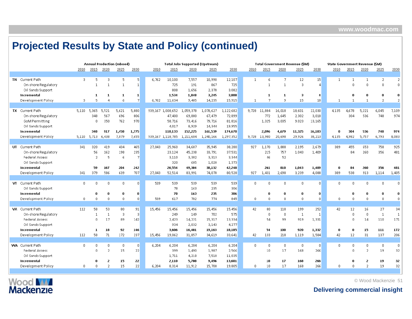|    |                        |                |              |                | <b>Annual Production (mboed)</b> |                 |        |                   |           | <b>Total Jobs Supported (Upstream)</b> |           |              |                |                | <b>Total Government Revenue (\$M)</b> |           |              |                | State Government Revenue (\$M) |                |                |
|----|------------------------|----------------|--------------|----------------|----------------------------------|-----------------|--------|-------------------|-----------|----------------------------------------|-----------|--------------|----------------|----------------|---------------------------------------|-----------|--------------|----------------|--------------------------------|----------------|----------------|
|    |                        | 2010           | 2015         | 2020           | 2025                             | 2030            | 2010   | 2015              | 2020      | 2025                                   | 2030      | 2010         | 2015           | 2020           | 2025                                  | 2030      | 2010         | 2015           | 2020                           | 2025           | 2030           |
|    |                        |                |              |                |                                  |                 |        |                   |           |                                        |           |              |                |                |                                       |           |              |                |                                |                |                |
|    | <b>TN</b> Current Path | 3              | 5            | 3              | 5                                | 5               | 6,762  | 10,100            | 7,557     | 10,990                                 | 12,107    | $\mathbf{1}$ | 6              | $\overline{7}$ | 12                                    | 15        | $\mathbf{1}$ | $\mathbf{1}$   | $\mathbf{1}$                   | $\overline{2}$ | $\overline{2}$ |
|    | On-shore Regulatory    |                | $\mathbf{1}$ | $\mathbf{1}$   |                                  | $\mathbf{1}$    |        | 725               | 191       | 867                                    | 725       |              | $\overline{1}$ | $\mathbf{1}$   | 3                                     | $\Lambda$ |              | $\mathbf{0}$   | $\mathbf{0}$                   | $\Omega$       | $\mathbf{0}$   |
|    | Oil Sands Support      |                |              |                |                                  |                 |        | 808               | 1,656     | 2,378                                  | 3,082     |              |                |                |                                       |           |              |                |                                |                |                |
|    | Incremental            |                | 1            | 1              | 1                                | $\mathbf{1}$    |        | 1,534             | 1,848     | 3,245                                  | 3,808     |              | 1              | 1              | 3                                     | 4         |              | n              | 0                              | n              | n              |
|    | Development Policy     | 3              | 5            | $\Delta$       | 6                                | $\overline{7}$  | 6,762  | 11,634            | 9,405     | 14,235                                 | 15,915    | $\mathbf{1}$ | $\overline{7}$ | 9              | 15                                    | 18        | $\mathbf{1}$ |                | $\mathbf{1}$                   | $\mathcal{P}$  | 2              |
|    |                        |                |              |                |                                  |                 |        |                   |           |                                        |           |              |                |                |                                       |           |              |                |                                |                |                |
|    | <b>TX</b> Current Path | 5,110          | 5,365        | 5,521          | 5,621                            | 5,880           |        | 939,167 1,008,652 | 1,059,378 | 1,078,627                              | 1,122,682 | 9,728        | 11,884         | 16,018         | 18,601                                | 22,030    | 4,135        | 4,678          | 5,221                          | 6,045          | 7,109          |
|    | On-shore Regulatory    |                | 348          | 567            | 696                              | 806             |        | 47,400            | 69,880    | 67,479                                 | 72,899    |              | 772            | 1,645          | 2,302                                 | 3,018     |              | 304            | 536                            | 748            | 974            |
|    | <b>GoM Permitting</b>  |                | 0.           | 350            | 762                              | 970             |        | 58,716            | 73,416    | 79,716                                 | 81,816    |              | 1,325          | 3,035          | 9,023                                 | 13,165    |              |                |                                |                |                |
|    | Oil Sands Support      |                |              |                |                                  |                 |        | 4,017             | 8,929     | 14,344                                 | 19,955    |              |                |                |                                       |           |              |                |                                |                |                |
|    | Incremental            |                | 348          | 917            | 1,458                            | 1,775           |        | 110,133           | 152,225   | 161,539                                | 174,670   |              | 2,096          | 4,679          | 11,325                                | 16,183    | 0            | 304            | 536                            | 748            | 974            |
|    | Development Policy     | 5,110          | 5,713 6,438  |                | 7,079                            | 7,655           |        | 939,167 1,118,785 | 1,211,604 | 1,240,166                              | 1,297,352 | 9,728        | 13,980         | 20,698         | 29,926                                | 38,213    | 4,135        | 4,982          | 5,757                          | 6,793          | 8,083          |
|    |                        |                |              |                |                                  |                 |        |                   |           |                                        |           |              |                |                |                                       |           |              |                |                                |                |                |
|    | UT Current Path        | 341            | 320          | 419            | 434                              | 465             | 27,043 | 25,960            | 34,687    | 35,945                                 | 38,280    | 927          | 1,170          | 1,888          | 2,195                                 | 2,679     | 389          | 455            | 653                            | 758            | 925            |
|    | On-shore Regulatory    |                | 56           | 162            | 198                              | 235             |        | 23,124            | 45,238    | 33,791                                 | 37,531    |              | 215            | 757            | 1,043                                 | 1,409     |              | 84             | 260                            | 356            | 481            |
|    | <b>Federal Access</b>  |                | 2            | 5              | -6                               | -7              |        | 3,110             | 3,382     | 3,313                                  | 3,344     |              | 46             | 52             |                                       |           |              |                |                                |                |                |
|    | Oil Sands Support      |                |              |                |                                  |                 |        | 320               | 685       | 1,028                                  | 1,373     |              |                |                |                                       |           |              |                |                                |                |                |
|    | Incremental            |                | 59           | 167            | 204                              | 242             |        | 26,554            | 49,304    | 38,132                                 | 42,248    |              | 261            | 810            | 1,043                                 | 1,409     | n            | 84             | 260                            | 356            | 481            |
|    | Development Policy     | 341            | 379          | 586            | 639                              | 707             | 27,043 | 52,514            | 83,991    | 74,078                                 | 80,528    | 927          | 1,431          | 2,698          | 3,239                                 | 4,088     | 389          | 538            | 913                            | 1,114          | 1,405          |
|    |                        |                |              |                |                                  |                 |        |                   |           |                                        |           |              |                |                |                                       |           |              |                |                                |                |                |
| vт | Current Path           | $\mathbf{0}$   | $\Omega$     | $\mathbf 0$    | $\mathbf 0$                      | $\vert 0 \vert$ | 539    | 539               | 539       | 539                                    | 539       | 0            | $\overline{0}$ | $\mathbf 0$    | 0                                     | $\Omega$  | $\mathbf{0}$ | $\mathbf{0}$   | $\mathbf{0}$                   | $\mathbf{0}$   | $\Omega$       |
|    | Oil Sands Support      |                |              |                |                                  |                 |        | 78                | 163       | 235                                    | 306       |              |                |                |                                       |           |              |                |                                |                |                |
|    | Incremental            |                | $\bf{0}$     | 0              | 0                                | $\bf{0}$        |        | 78                | 163       | 235                                    | 306       |              | $\bf{0}$       | $\bf{0}$       | $\bf{0}$                              | $\bf{0}$  |              | 0              | 0                              | 0              | 0              |
|    | Development Policy     | $\mathbf{0}$   | $\Omega$     | $\Omega$       | $\mathsf{n}$                     | $\mathsf{n}$    | 539    | 617               | 702       | 774                                    | 845       | 0            | $\Omega$       | $\Omega$       | 0                                     | $\Omega$  | $\mathsf{n}$ | $\Omega$       | $\Omega$                       | $\Omega$       | n              |
|    |                        |                |              |                |                                  |                 |        |                   |           |                                        |           |              |                |                |                                       |           |              |                |                                |                |                |
|    | VA Current Path        | 112            | 58           | 53             | 80                               | 91              | 15,456 | 15,456            | 15,456    | 15,456                                 | 15,456    | 42           | 80             | 118            | 199                                   | 252       | 42           | 12             | 16                             | 27             | 34             |
|    | On-shore Regulatory    |                | $\mathbf{1}$ | $\mathbf{1}$   | 3                                | -3              |        | 249               | 149       | 702                                    | 575       |              | $\theta$       | $\overline{0}$ | $\mathbf{1}$                          | -1        |              | $\Omega$       | $\mathbf 0$                    | $\mathbf{1}$   | $\mathbf{1}$   |
|    | <b>Federal Access</b>  |                | $\Omega$     | 17             | 89                               | 142             |        | 2,423             | 14,221    | 15,317                                 | 13,334    |              | 54             | 99             | 919                                   | 1,331     |              | $\sqrt{ }$     | 14                             | 110            | 171            |
|    | Oil Sands Support      |                |              |                |                                  |                 |        | 934               | 2,032     | 3,143                                  | 4,277     |              |                |                |                                       |           |              |                |                                |                |                |
|    | Incremental            |                | 1            | 18             | 92                               | 146             |        | 3,606             | 16,401    | 19,163                                 | 18,185    |              | 54             | 100            | 920                                   | 1,332     | 0            | 0              | 15                             | 111            | 172            |
|    | Development Policy     | 112            | 58           | 71             | 172                              | 237             | 15,456 | 19,062            | 31,857    | 34,619                                 | 33,641    | 42           | 133            | 218            | 1,119                                 | 1,584     | 42           | 12             | 31                             | 137            | 206            |
|    |                        |                |              |                |                                  |                 |        |                   |           |                                        |           |              |                |                |                                       |           |              |                |                                |                |                |
|    | <b>WA</b> Current Path | $\overline{0}$ | $\Omega$     | $\Omega$       | $\mathbf 0$                      | $\vert 0 \vert$ | 6,204  | 6,204             | 6,204     | 6,204                                  | 6,204     | 0            | $\overline{0}$ | $\overline{0}$ | 0                                     | 0         | 0            | $\overline{0}$ | $\mathbf{0}$                   | $\mathbf 0$    | $\mathbf 0$    |
|    | Federal Access         |                | $\Omega$     | $\overline{2}$ | 15                               | 22              |        | 399               | 1,490     | 1,987                                  | 2,566     |              | 10             | 17             | 168                                   | 266       |              | n              | $\overline{2}$                 | 19             | 32             |
|    | Oil Sands Support      |                |              |                |                                  |                 |        | 1,711             | 4,218     | 7,510                                  | 11,035    |              |                |                |                                       |           |              |                |                                |                |                |
|    | Incremental            |                | n            | 2              | 15                               | 22              |        | 2,110             | 5,708     | 9,496                                  | 13,601    |              | 10             | 17             | 168                                   | 266       |              | n              | $\overline{2}$                 | 19             | 32             |
|    | Development Policy     | 0              | $\Omega$     | $\overline{2}$ | 15                               | 22              | 6,204  | 8,314             | 11,912    | 15,700                                 | 19,805    | 0            | 10             | 17             | 168                                   | 266       | 0            | n              | $\mathcal{D}$                  | 19             | 32             |
|    |                        |                |              |                |                                  |                 |        |                   |           |                                        |           |              |                |                |                                       |           |              |                |                                |                |                |



© Wood Mackenzie 51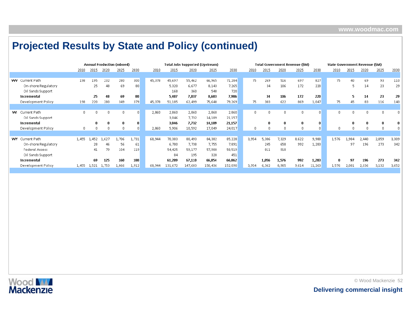|                        |          |       |       | <b>Annual Production (mboed)</b> |              |        |         | Total Jobs Supported (Upstream) |         |         |          |          |          | Total Government Revenue (\$M) |        | State Government Revenue (\$M) |       |       |       |       |
|------------------------|----------|-------|-------|----------------------------------|--------------|--------|---------|---------------------------------|---------|---------|----------|----------|----------|--------------------------------|--------|--------------------------------|-------|-------|-------|-------|
|                        | 2010     | 2015  | 2020  | 2025                             | 2030         | 2010   | 2015    | 2020                            | 2025    | 2030    | 2010     | 2015     | 2020     | 2025                           | 2030   | 2010                           | 2015  | 2020  | 2025  | 2030  |
|                        |          |       |       |                                  |              |        |         |                                 |         |         |          |          |          |                                |        |                                |       |       |       |       |
| <b>WV</b> Current Path | 198      | 195   | 232   | 280                              | 300          | 45,378 | 45,697  | 55,462                          | 66,965  | 71,284  | 75       | 269      | 516      | 697                            | 827    | 75                             | 40    | 69    | 93    | 110   |
| On-shore Regulatory    |          | 25    | 48    | 69                               | 80           |        | 5,320   | 6,677                           | 8,143   | 7,265   |          | 34       | 106      | 172                            | 220    |                                | 5.    | 14    | 23    | 29    |
| Oil Sands Support      |          |       |       |                                  |              |        | 168     | 360                             | 540     | 720     |          |          |          |                                |        |                                |       |       |       |       |
| Incremental            |          | 25    | 48    | 69                               | 80           |        | 5,487   | 7,037                           | 8,683   | 7,986   |          | 34       | 106      | 172                            | 220    |                                |       | 14    | 23    | 29    |
| Development Policy     | 198      | 220   | 280   | 349                              | 379          | 45,378 | 51,185  | 62,499                          | 75,648  | 79,269  | 75       | 303      | 622      | 869                            | 1,047  | 75.                            | 45    | 83    | 116   | 140   |
|                        |          |       |       |                                  |              |        |         |                                 |         |         |          |          |          |                                |        |                                |       |       |       |       |
| <b>WI</b> Current Path | $\Omega$ |       | n.    |                                  | $\mathbf{0}$ | 2,860  | 2,860   | 2,860                           | 2,860   | 2,860   | $\Omega$ | $\Omega$ | $\Box$   | $\Omega$                       |        |                                |       |       |       |       |
| Oil Sands Support      |          |       |       |                                  |              |        | 3,046   | 7,732                           | 14,189  | 21,157  |          |          |          |                                |        |                                |       |       |       |       |
| Incremental            |          | n     |       |                                  | 0            |        | 3,046   | 7,732                           | 14,189  | 21,157  |          |          |          | 0                              |        |                                |       |       |       |       |
| Development Policy     |          |       | n     |                                  | $\Omega$     | 2.860  | 5,906   | 10,592                          | 17,049  | 24,017  | n.       | n.       | $\Omega$ | D.                             |        |                                |       |       |       |       |
|                        |          |       |       |                                  |              |        |         |                                 |         |         |          |          |          |                                |        |                                |       |       |       |       |
| <b>WY</b> Current Path | 1,455    | 1,452 | 1,627 | 1,706                            | 1,731        | 68,944 | 70,383  | 80,493                          | 84,382  | 85,228  | 3,954    | 5,306    | 7,329    | 8,622                          | 9,980  | 1,576                          | 1,984 | 2,440 | 2,859 | 3,309 |
| On-shore Regulatory    |          | 28    | 46    | 56                               | 61           |        | 6,780   | 7,738                           | 7,755   | 7,891   |          | 245      | 658      | 992                            | 1,283  |                                | 97    | 196   | 273   | 342   |
| <b>Federal Access</b>  |          | 41    | 79    | 104                              | 119          |        | 54,425  | 59,177                          | 57,980  | 58,519  |          | 811      | 918      |                                |        |                                |       |       |       |       |
| Oil Sands Support      |          |       |       |                                  |              |        | 84      | 195                             | 320     | 451     |          |          |          |                                |        |                                |       |       |       |       |
| Incremental            |          | 69    | 125   | 160                              | 180          |        | 61,289  | 67,110                          | 66,054  | 66,862  |          | 1.056    | 1,576    | 992                            | 1,283  |                                | 97    | 196   | 273   | 342   |
| Development Policy     | 1,455    | 1,521 | 1,753 | 1,866                            | 1,912        | 68,944 | 131,672 | 147,603                         | 150,436 | 152,090 | 3,954    | 6,362    | 8,905    | 9,614                          | 11,263 | 1,576                          | 2,081 | 2,636 | 3,132 | 3,652 |

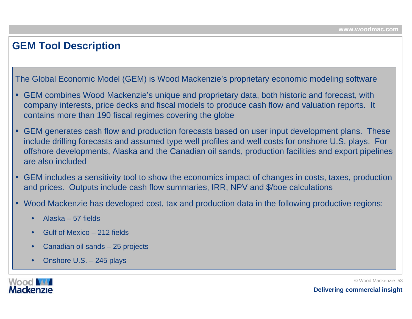### **GEM Tool Description**

The Global Economic Model (GEM) is Wood Mackenzie's proprietary economic modeling software

- • GEM combines Wood Mackenzie's unique and proprietary data, both historic and forecast, with company interests, price decks and fiscal models to produce cash flow and valuation reports. It contains more than 190 fiscal regimes covering the globe
- • GEM generates cash flow and production forecasts based on user input development plans. These include drilling forecasts and assumed type well profiles and well costs for onshore U.S. plays. For offshore developments, Alaska and the Canadian oil sands, production facilities and export pipelines are also included
- GEM includes a sensitivity tool to show the economics impact of changes in costs, taxes, production and prices. Outputs include cash flow summaries, IRR, NPV and \$/boe calculations
- • Wood Mackenzie has developed cost, tax and production data in the following productive regions:
	- •Alaska – 57 fields
	- •• Gulf of Mexico – 212 fields
	- •Canadian oil sands – 25 projects
	- •• Onshore U.S. – 245 plays

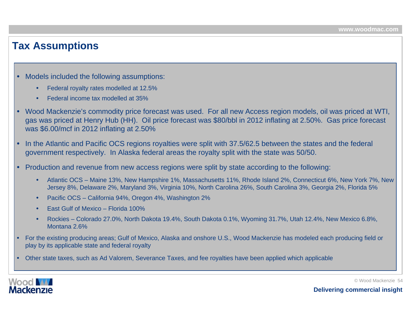### **Tax Assumptions**

- • Models included the following assumptions:
	- •Federal royalty rates modelled at 12.5%
	- •Federal income tax modelled at 35%
- • Wood Mackenzie's commodity price forecast was used. For all new Access region models, oil was priced at WTI, gas was priced at Henry Hub (HH). Oil price forecast was \$80/bbl in 2012 inflating at 2.50%. Gas price forecast was \$6.00/mcf in 2012 inflating at 2.50%
- • In the Atlantic and Pacific OCS regions royalties were split with 37.5/62.5 between the states and the federal government respectively. In Alaska federal areas the royalty split with the state was 50/50.
- • Production and revenue from new access regions were split by state according to the following:
	- • Atlantic OCS – Maine 13%, New Hampshire 1%, Massachusetts 11%, Rhode Island 2%, Connecticut 6%, New York 7%, New Jersey 8%, Delaware 2%, Maryland 3%, Virginia 10%, North Carolina 26%, South Carolina 3%, Georgia 2%, Florida 5%
	- •Pacific OCS – California 94%, Oregon 4%, Washington 2%
	- •East Gulf of Mexico – Florida 100%
	- • Rockies – Colorado 27.0%, North Dakota 19.4%, South Dakota 0.1%, Wyoming 31.7%, Utah 12.4%, New Mexico 6.8%, Montana 2.6%
- • For the existing producing areas; Gulf of Mexico, Alaska and onshore U.S., Wood Mackenzie has modeled each producing field or play by its applicable state and federal royalty
- •Other state taxes, such as Ad Valorem, Severance Taxes, and fee royalties have been applied which applicable



© Wood Mackenzie 54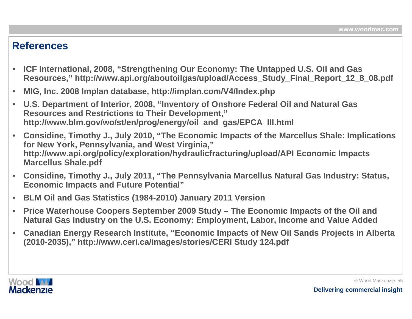### **References**

- • **ICF International, 2008, "Strengthening Our Economy: The Untapped U.S. Oil and Gas Resources," http://www.api.org/aboutoilgas/upload/Access\_Study\_Final\_Report\_12\_8\_08.pdf**
- •**MIG, Inc. 2008 Implan database, http://implan.com/V4/Index.php**
- • **U.S. Department of Interior, 2008, "Inventory of Onshore Federal Oil and Natural Gas Resources and Restrictions to Their Development," http://www.blm.gov/wo/st/en/prog/energy/oil\_and\_gas/EPCA\_III.html**
- • **Considine, Timothy J., July 2010, "The Economic Impacts of the Marcellus Shale: Implications for New York, Pennsylvania, and West Virginia," http://www.api.org/policy/exploration/hydraulicfracturing/upload/API Economic Impacts Marcellus Shale.pdf**
- $\bullet$  **Considine, Timothy J., July 2011, "The Pennsylvania Marcellus Natural Gas Industry: Status, Economic Impacts and Future Potential"**
- •**BLM Oil and Gas Statistics (1984-2010) January 2011 Version**
- • **Price Waterhouse Coopers September 2009 Study – The Economic Impacts of the Oil and Natural Gas Industry on the U.S. Economy: Employment, Labor, Income and Value Added**
- • **Canadian Energy Research Institute, "Economic Impacts of New Oil Sands Projects in Alberta (2010-2035)," http://www.ceri.ca/images/stories/CERI Study 124.pdf**

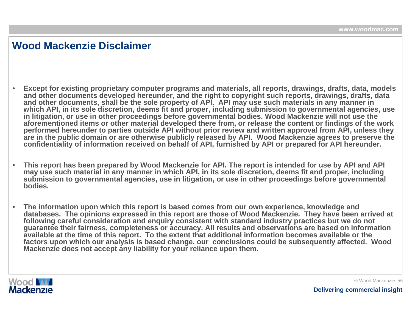### **Wood Mackenzie Disclaimer**

- • **Except for existing proprietar y computer programs and materials, all reports, drawings, drafts, data, models and other documents developed hereunder, and the right to cop yright such reports, drawings, drafts, data**  and other documents, shall be the sole property of API. API may use such materials in any manner in  $\,$ which API, in its sole discretion, deems fit and proper, including submission to governmental agencies, use **in litigation, or use in other proceedings before governmental bodies. Wood Mackenzie will not use the aforementioned items or other material developed there from, or release the content or findings of t he wor k performed hereunder t o parties outside API without prior review and written approval fro m A PI, unless they are in the public domain or are otherwise publicly released by A PI. Wood Mackenzie agrees to preserve the confidentiality of information received on b ehalf of API, furnished by API or prepared for API hereunder.**
- • **This report has been prepared by Wood Mackenzie for API. The report is intended for use by API and API may use such material in any manner in which API, in its sole discretion, deems fit and proper, including submission to governmental age ncies, use in litigation, or use i n other proceedi ngs bef ore governmental bodies.**
- • **The information upon which this report is based comes from our own experience, knowledge and databases. The opinions expressed in this report are those of Wood Mackenzie. They have been arrived at following careful consideration and enquir y consistent with standard industr y practices but we do not**  guarantee their fairness, completeness or accuracy. All results and observations are based on information **available at the time of this report. To the extent that additional information becomes available or the factors upon which our analy sis is based change, our conclusions could be subsequently affected. Wood Mackenzie does not accept an y liability for your reliance upon them.**